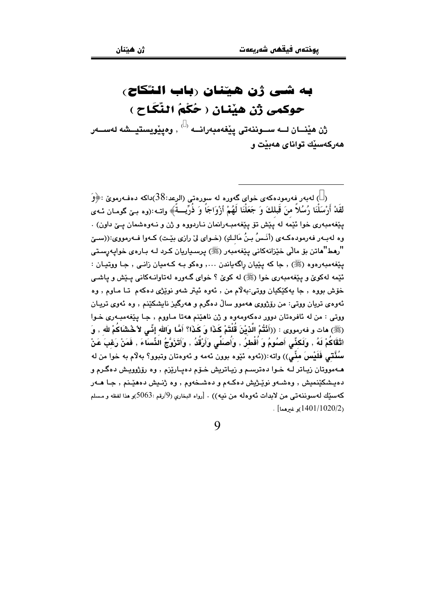## به شي ژن هيننان رباب النگاح) حوكمي ژن هێنان ( حُكْمُ النِّكَاح )

ش هيْنــان لــه ســوننهتي ييْغهمبهرانــه $\langle\,\cdot\,\rangle$  وەييْويستيــشه لهســهر هەركەسىيك تواناي ھەبيت و

( ) لەبەر فەرمودەكەي خواي گەورە لە سورەتى (الرعد:38)داكە دەفـەرمويّ :﴿وَ لقَلْ أَرْسَلْنَا رُسُلاً منَ قَبلكَ وَ جَعَلْنَا لَهُمْ أَزْوَاجَاً وَ ذُرِّيتُمَّ﴾ واتـ :(وه بـێ گومـان ئـهي پێِغەمبەرى خوا ئێمە لە پێش تۆ پێغەمبەرانمان نـاردووە و ژن و نـەوەشمان يـێ داون) . وه لهبـهر فهرمودهكـهي (أنَـسُ بـنُ مَالـكِ) (خـواي ليّ رازي بيّـت) كـهوا فـهرمووي:((سـيّ "رهط"هاتن بۆ ماڵی خێزانەکانی یێغەمبەر (ﷺ) پرسىياريان كـرد كـه بـارەی خواپـەرسـتى يٽغهمبهرهوه (ﷺ) , جا که پٽِيان راڳهياندن ..., وهکو بـه کـهميان زانـي , جـا ووتيـان : ئٽمه لهکوئ و پٽغهميهري خوا (ﷺ) له کوئ ؟ خواي گ§وره لهتاوانيهکاني پيٽش و پاشي خوّش بووه , جا پهکێکيان ووتي:به لام من , ئهوه ئيتر شهو نوێژي دهکهم تا ماوم , وه ئەوەي تريان ووتى: من رۆژووي ھەموڧ سالٌ دەگرم و ھەرگىز ناپشكێنم , وە ئەوي تريـان ووتي : من له ئافرهتان دوور دهكهومهوه و ژن ناهێنم ههتا مـاووم , جـا پێغهمبـهري خـوا (ﷺ) مات و فەرمووى : ((أَنْتُمْ الَّذِيْنَ قُلْتَمْ كَذَا وَ كَذَا؟ أَمَّا وَالله إِنِّي لاَ خُشَاكُمْ لله , وَ أَتْقَاكُمْ لَهُ , وَلَكنِّى أَصلُومُ وَ أُفْطلُ , وَأُصَلِّى وَأَرْقُدُ , وَأَتَزَوَّجُ النِّسَاءَ , فَمَنْ رَغِبَ عَنْ سُنَّتَـى فَلَيْسَ مثَّـى)) واته:((ئەوە ئێوە بوون ئەمە و ئەوەتان وتبوو؟ بەلاّم بە خوا من لە مهمووتان زيـاتر لـه خـوا دهترسـم و زيـاتريش خـۆم دهيـارێزم , وه رۆژوويـش دهگـرم و دهيشکێنميش , وهشـهو نوێـِژيش دهکـهم و دهشـخهوم , وه ژنـیش دهمێـنم , جـا هــهر كهسيِّك لهسوننهتي من لابدات ئهوهله من نيه)) . [رواه البخاري (9/رقم :5063)و هذا لفظه و مسلم  $\lceil 1401/1020/2 \rceil$ و غرمما $\lceil 1020/2 \rceil$ 

 $\overline{Q}$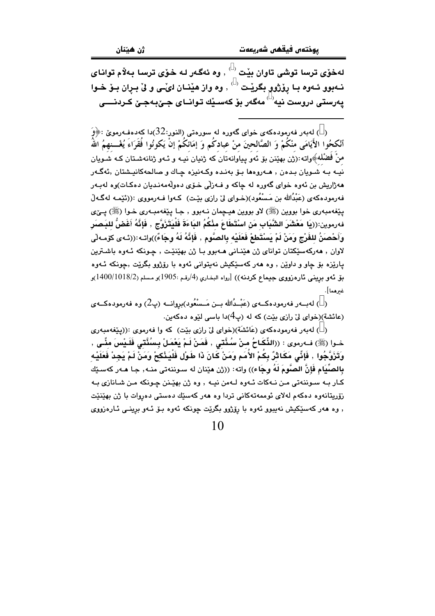لەخۆی ترسا توشى تاوان بێت <sup>( )</sup> , وه ئەگەر لـه خۆی ترسا بـهلاّم توانای نـهبوو ئـهوه بـا پۆژوو بگريْـت  $\langle \, \cdot \, \rangle$  وه واز هيْنـان لـَيْـى و ليْ بـرِان بـوْ خـوا يەرستى دروست نيە<sup>( )</sup> مەگەر بۆ كەسىلك توانــاي جــِێيەجـِێ كـردنـــــِي

بالەبەر فەرمودەكەي خواي گەورە لە سورەتى (النور:32)دا كەدەفـەرمويّ :﴿وَ $\geq$ أَنْكحُوا الأَيَامَى منْكُمْ وَ الصَّالحينَ منْ عبادكُم وَ إمَائكُمْ إنْ يَكونُوا فُقَرَاءَ يُغْـــنهمُ اللَّه منْ فَضْله﴾واته :(ژن بهێنن بۆ ئەو پياوانەتان كە ژنيان نيـه و ئـهو ژنانەشـتان كـه شـويان نیـه بـه شـویان بـدهن , هـهروهها بـۆ بهنـده وکـهنیزه چـاك و صالحهکانیـشتان ,ئهگـهر مهژاریش بن ئەوه خوای گەورە لە چاكە و فــەزلّى خـۆی دەولّەمەنـدیان دەكـات<sub>)</sub>وە لەبـەر فەرمودەكەي (عَبْدُالله بن مَسْعُود)(خـواي ليّ رازي بێت) كـەوا فـەرمووي :((ئێمـە لەگـەڵ يٽغهمبەري خوا بووين (ﷺ) لاو بووين هيـڃمان نـﻪبوو , جـا يێغهمبـﻪري خـوا (ﷺ) يـێي فەرموين:((يَا مَعْشَرَ الشَّبَابِ مَنْ اسْتَطَاعَ مِنْكُمُ البَاءَةَ فَلْيَتَزَوَّج , فَإِنَّهُ أَغَضُّ للبَصر وَأَحْصَنُ للفَرْجِ وَمَنْ لَمْ يَسْتَطَعْ فَعَلَيْه بِالصَّومِ , فَإِنَّهُ لَهُ وجَاءً))واتـه :((ئـهى كۆمـهلّى لاوان , هەركەسێكتان تواناي ژن هێناني هــهبوو بـا ژن بهێنێت , چـونكه ئــهوه باشـترين ياريّزه بۆ چاو و داويْن , وه هەر كەسێكيش نەپتوانى ئەوە با رۆژوو بگريّت ,چونكە ئـەوە مِق ئەو برينى ئارەزووى جيماع كردنە)) [رواه البخارى (4/رقم :1905)و مسلم (18/2/1400/1018)و غىرھما].

( ) لەيسەر فەرمودەكسەي (عَيْسُدُالله بين مَسْبَعُود)بروانسە (پ2) وە فەرمودەكسەي (عائشة)(خوای لیّ رازی بیّت) که له (پ4)دا باسی لئوه دهکهین.

( ) لەيەر فەرمودەكەي (عَائشَة)(خواي لِيْ رازى بِيْت) كە وا فەرموي :((بِيْغەمبەرى خـوا (ﷺ) فـﻪرموي : ((الثِّكَـاحُ مـنْ سُـنَّتى , فَمَنْ لَـمْ يَعْمَلْ بِـسُنَّتى فَلَـيْسَ منِّـي , وَتَزَوَّجُوا , فَإِنِّي مَكَاثِرٌ بِكُمْ الأُمَمِ وَمَنْ كَانَ ذَا طَوْلِ فَلْيَذْكِحْ وَمَنْ لَمْ يَجِدْ فَعَلَيْه بِالصِّيَامِ فَإِنَّ الصَّومَ لَهُ وجَاء)) واته: ((ژن هێنان له سـوننهتي منـه, جـا هـهر كهسـێك کـار بـه سـوننهتي مـن نـهکات ئـهوه لـهمن نيـه , وه ژن بهٽِـنن جـونکه مـن شـانازي بـه زۆريتانەوە دەكەم لەلاي ئوممەتەكانى تردا وە ھەر كەسىيك دەستى دەروات با ژن بھێنێت , وه ههر کهسٽکيش نهيبوو ئهوه با رۆژوو بگريت چونکه ئهوه بـۆ ئـهو برينـي ئـارەزووى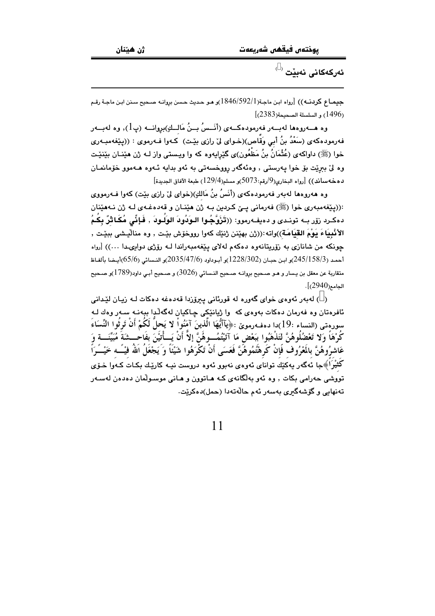ئەركەكانى نەبێت <sup>( )</sup>

جيمـاع كردنـه)) [رواه ابـن ماجـة(1846/592/1) و هـو حـديث حـسن بروانـه صـحيح سـنن ابـن ماجـة رقـم  $[$  (1496) و السلسلة الصحيحة $(2383)$ 

وه هـــهروهها لهبــهر فهرمودهكــهى (أنَــسُ بــنُ مَالــكِ)بروانـــه (پـ1), وه لهبــهر فهرمودهکهی (سَعْدُ بنُ أَبِي وَقَّاص)(خـوای ليّ رازی بيّـت) کـهوا فـهرموی : ((پـيّغهمبـهری خوا (ﷺ) داواکهی (عُثْمَانُ بنُ مَظْعُون)ی گێرایهوه که وا ویستی واز لـه ژن هێنـان بێنێت وه ليِّ بِبريِّت بِقِ خوا يەرستى , وەئەگەر رووخسەتى بە ئەو بدايە ئـەوە ھـەموو خۆمانمـان  $[$ ده خه ساند))  $[$ رواه البخاري $(9)$ رقم:5073)و مسلم $(129/4)$  طبعة الآفاق الجديدة

وه هەروەها لەبەر فەرمودەكەي (أَنَسُ بنُ مَالكِ)(خواي لِيّ رازِي بِيّت) كەوا فـەرمووي :((پێغەمبەرى خوا (ﷺ) فەرمانى يـێ كـردين بـه ژن هێنـان و قەدەغـەي لـه ژن نـەهێنان دەكـرد زۆر بــه تونـدى و دەيفــەرموو: ((تَرَوَّجُـوا الـوَدُودَ الوَلَـودَ , فَـاِنِّى مُكَـاثْرٌ بِكُـمُ الأَنْبِيَاءَ يَوْمَ القِيَامَة))واته:((ژن بهێنن ژنێك كەوا رووخۆش بێت , وه منال٘يشى ببێت , چونکه من شانازی به زۆرپتانهوه دهکهم لهلای پیفهمبهراندا لـه رۆژی دواپىدا ...)) [رواه أحمد (245/158/3)و ابن حبان (228/302)و أبوداود (2035/47/6)و النسائي (65/6)أيـضا بألفـاظ متقارية عن معقل بن يسار و هـو صـحيح بروانـه صـحيح النـسائي (3026) و صـحيح أبـي داود(1789)و صـحيح الجامع(2940)].

( ) لەبەر ئەوەي خواي گەورە لە قورئانى يېرۆزدا قەدەغە دەكات لـه زيـان ليْدانى .<br>ئافرەتان وە فەرمان دەكات بەوەي كە وا ژيانێكى چاكيان لەگەڵدا ببەنـە سـەر وەك لـە سورەتى (النساء :19)دا دەفـەرموێ :﴿يَآأَيُّهَا الَّذينَ آمَنُواْ لا يَحلُّ لَكُمْ أَنْ تَرِثُوا النِّسَاءَ كُرْهَاً وَلَّا تَعْضُلُوهُنَّ لتَذْهَبُوا ببَعْض مَا آَتَيْتُمُـــوهُنَّ إلاَّ أَنْ يَـــأْتَيْنَ بفَاحْـــشَةَ مُبَيِّنَـــة وَ عَاشرُوهُنَّ بِالمَعْرُوفٌ فَإِنْ كَرِهْتُمُوهُنَّ فَعَسَى أَنْ تَكْرَهُوا شَيْئًا وَ يَجْعَلُ اللهُ فيْــَــه خَيْـــَرَأَ کُثیْرَاَ﴾جا ئەگەر يەكێك تواناي ئەوەي نەبوو ئەوە دروست نيـە كارێـك بكـات كـەوا خـۆي تووشی حەرامی بکات , وه ئەو بەلگانەی کـه هـاتوون و هـانی موسـولْمان دەدەن لەسـەر تەنھابى و گۆشەگىرى بەسەر ئەم جالەتەدا (جمل)دەكريت.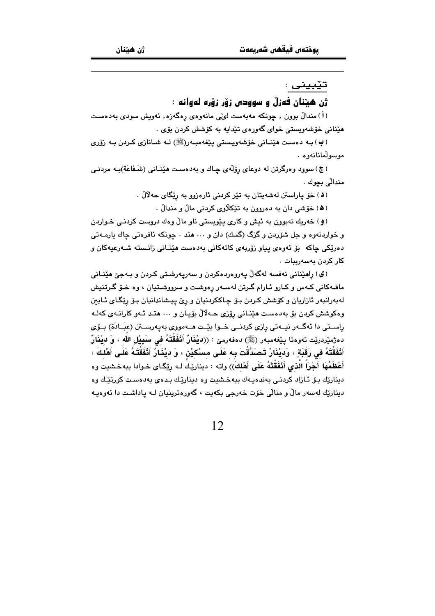#### تێبيني :

#### ژن هيٽنان فەزلّ و سوودى زۆر زۆرە لەوانە :

(أ) مندالٌ بوون , چونکه مەبەست لوێی مانەوەی رەگەزە, ئەويش سودی بەدەست مٽناني خۆشەويستى خواي گەورەي تٽدابە بە كۆشش كردن بۆي .

(پ) بـه دەسـت هێنـانى خۆشەوپـستى يێغەمبـەر(ﷺ) لـه شـانازى كـردن بـه زۆرى موسولْمانانەوە .

(ج) سوود وهرگرتن له دوعای رۆلّەی چـاك و بەدەست هێنـانى (شَـفَاعَة)بـه مردنـى مندالّي بچوك .

(د) خۆ ياراستن لەشەيتان بە تێر كردنى ئارەزوو بە رێگاى حەلالْ .

(۵) خۆشى دان به دەروون به تێكلاوى كردنى مالْ و مندالْ .

(و) خەريك نەبوون بە ئيش و كارى يێويستى ناو مالٌ وەك دروست كردنـى خـواردن و خواردنهوه و جل شۆردن و گزگ (گسك) دان و … هند . چونكه ئافرەتى چاك بارمــهتى دەرێکى چاکە بۆ ئەۋەي يياۋ زۆربەي كاتەكانى بەدەست ھێنـانى زانـستە شـەرعيەكان ۋ كار كردن پەسەربىات ،

(گ) راهێنانی نەفسە لەگەڵ پەروەردەكردن و سەرپەرشىتى كىردن و بـﻪجێ هێنـﺎنى مافـهکانی کـهس و کـارو ئـارام گـرتن لهسـهر رِهوشـت و سرووشـتيان ، وه خـۆ گـرتنيش لهبهرانبهر ئازاريان و كۆشش كردن بىۆ چاككردنيان و رى پيىشاندانيان بىۆ رێگاى ئـايين وهکوشش کردن بۆ بەدەست هێنانى رۆزى حـهلالْ بۆيـان و … هتـد ئـهو کارانـهى کەلـه راسىتى دا ئەگەر نيـەتى رازى كردنـى خـوا بێـت ھــەمووى بەيەرسـتن (عبَـادَة) بــۆى دەژمێردرێت ئەوەتا پێغەمبەر (ﷺ) دەفەرمێ : ((فيْفَارٌ أَنْفَقْتَهُ فى سَبِيْل الله ، وَ فيْفَارٌ أَنْفَقْتَهُ في رَقَبَةٍ ، وَديْنَارٌ تَصَدَّقْتَ بِه عَلَى مسْكيْن ، وَ ديْنَارٌ أَنْفَقْتَهُ عَلَى أَهْلكَ ، أَعْظَمُهَا أَجْرَاً الَّذي أَنْفَقْتَهُ عَلَى أَهْلِكَ)) واته : ديناريْك لـه رِيْكَاى خـوادا ببهخـشيت وه دیناریّك بىق ئـازاد كردنـى بەندەيـەك ببەخـشیت وە دینارپّـك بـدەی بەدەسـت كورتپّـك وە دیناریّك لهسهر مالٌ و منالّی خوّت خهرجی بكهیت ، گهورهترینیان لـه پاداشـت دا ئهوهیـه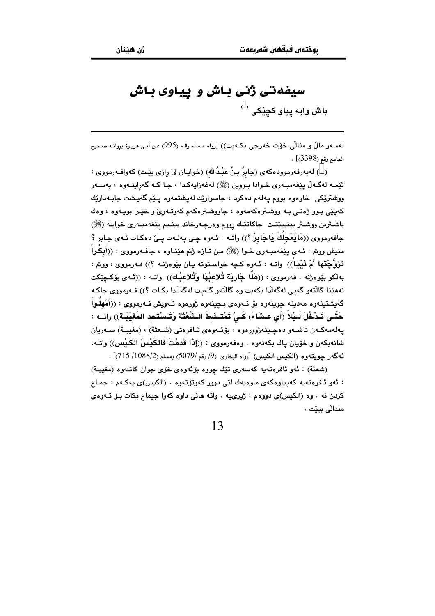## سیفهتی ژنی باش و پیاوی باش

**باش وايه يياو کڃێک**، <sup>( )</sup>

لهسهر مالٌ و منالٌي حْوِّت حْهرجي بِكـهيت)) [رواه مسلم رقم (995) عن أبـي هريـرة بروانـه صـحيح الجامع رقم (3398)] .

( ) لەبەرڧەرموودەكەي (جَابِرُ بِنُ عَبْـدُالله) (خواپـان لِيْ رازي بِيّـت) كەواڧـەرمووي : ئێمـه لهگـهڵ پێغهمبـهري خـوادا بـووين (ﷺ) لهغهزاپهکدا ، جـا کـه گهراپنـهوه ، بهسـهر ووشتريکي خاوهوه بووم پهلهم دهکرد ، جاسواريك لهيشتمهوه پيم گهيشت جابـهداريك کهیێی بوو ژهنی به ووشترهکهمهوه ، جاووشترهکهم کهوتـهریّ و خیّـرا بویـهوه ، وهك باشـترين ووشـتر بينيبيّتـت جاكاتيّك رووم وهرچـهرخاند بينـيم يـيّغهمبـهري خوايـه (ﷺ) جافەرمورى ((مَايُعْجِلُكَ يَاجَابِرٌ ؟)) واتـه : ئـەوە چـى يـەلـەت يـى دەكـات ئـەي جـابر ؟ منيش ووتم : ئــهى يـێغهمبــهرى خــوا (ﷺ) مـن تــازه ژنم هێنــاوه ، جافــهرمووى : ((أَبِـكْـراً تَزَوَّجْتَهَا أَمْ تَيْبِلُ)) واتـه : ئـهوه كـڃه خواسـتوته بـان بێوهژنـه ؟)) فـهرمووي ، ووبم : بهلْكو بِيْوِهِرْنِه . فەرمووى : ((هَلَّا جَارِيَة تُلاعِيُهَا وَتُلاعِيُك)) واتبه : ((ئـهي بۆكـجێكت نههێنا گالٽهو گهيي لهگهلّدا بکهيت وه گالٽهو گـهيت لهگهلّدا بکـات ؟)) فـهرمووي جاکـه گەيشتىنەوە مەدىنە چوينەوە بۆ ئـەوەي بـچينەوە ژورەوە ئـەويش فـەرمووى : ((أَمْهِلُـواْ حَتَّـى نَـدْخُلَ لَـدْلاً (أَي عـشَاءً) كَـيْ تَمْتَـشطَ الـشَّعْثَة وَتَـسْتَحد المَعْنْدَة)) واتــه : پەلەمەكـەن تاشـەو دەچـينەژوورەوە ، بۆئـەوەي ئـافرەتى (شـعثة) ، (مغيبــة) سـەريان شانەپكەن و خۆپان ياك پكەنەوە ، وەڧەرمووى : ((إِذَا قَدِمْتَ فَالكَيْسُ الكَيْس)) وإتـه: ئهگەر جويتەوە (الكيس الكيس) [رواه البخاري (9/ رقم /5079) ومسلم (2/1088/ 715)] .

(شعثة) : ئەو ئافرەتەيە كەسەرى تێك چووە بۆئەوەي خۆي جوان كاتـەوە (مغيبـة) : ئەو ئافرەتەيە كەيياوەكەى ماوەيەك لێى دوور كەوتۆتەوە . (الكيس)ى يەكـەم : جمـاع كردن نه . وه (الكيس)ى دووهم : ژيرىيه . واته هانى داوه كهوا جيماع بكات بـوّ ئـهوهى مندالّى بييّت .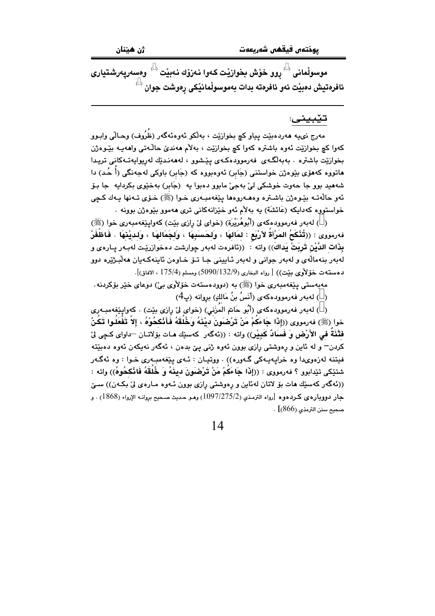موسوڵمانی $\,{}^{\circ}$ روو خۆش بخوازێت کەوا نەزۆك نەبێت $\,{}^{\circ}$  وەسەرپەرشتيارى ئافرەتيش دەبێت ئەو ئافرەتە بدات بەموسوڵمانێكى رەوشت جوان <sup>( )</sup>

#### تێبيني:

مەرج نىييە ھەردەبێت پياو كچ بخوازێت ، بەڵكو ئەوەئەگەر (ظَرُوف) وھـاڵى وابـوو کهوا کچ بخواريٽ ئهوه باشتره کهوا کچ بخواريٽ ، بهلام ههنديٰ حالـُـهتي واههيـه بيُـوهڙن بخوازنيت باشتره . بەبەلگەى فەرموودەكەي يێشوو ، لەھەنىدێك لەريوايەتـەكانى تريىدا ماتوره کهمۆی بێوهژن خواستنی (جَابر) ئەوەبورە کە (جَابر) باوکی لەجەنگی (أَ حُد) دا شههيد بوو جا حەوت خوشکی لیّ بەجیّ مابوو دەبوا يە (جَابر) بەخێوی بکردايە جا بـۆ ئهو حالَّهتـه بێوهژن باشـتره وهـهـ،روهها يێغهمبـهري خـوا (ﷺ) خـۆي تـهنها يـهك كـچي خواستووه کهدایکه (عَائشَة) به بهلام ئهو خێزانهکانی تری مهموو بێوهژن بوونه .

( ) له به ر فه رمووده که ی (أَبُوهُرَيْرَة) (خوای لی ْ رِازی بیّت) که واپیّغه مبه ری خوا (ﷺ) فهرمووى : ((تُثْكَحُ المَرْأَة لأَرْبَع : لمَالهَا ، وَلَحَسَبَهَا ، وَلَجَمَالهَا ، وَلَديْنَهَا . فَاظْفُرْ بِذَات الدَّيْنِ تَربِيَتْ يَداكَ)) واته ﴾: ((نافرهت لهبهر جوارشت دهخوازرێت لهبـهر يـارهى و لهبهر بنهمالهي و لهبهر جواني و لهبهر ئـاييني جـا تــوّ خـاوهن ئاينهكـهيان ههلّبـژێره دوو دهستهت خوّلأوي بيّت)) [ رواه البخاري (5090/132/9) ومسلم (175/4 ، الافاق)].

مەبەستى يێغەمبەرى خوا (ﷺ) بە (دوودەستەت خۆلأوى بى) دوعاى خێر بۆكردنە.

( ) لەبەر فەرموودەكەي (أَنَسُ بنُ مَالكِ) بروانە (پ $(4)$ 

( ) له به ر فه رمووده که ی (أَبُو حَاتم الْمَزَنى) (خوای لیّ رازی بیّت) . کهواییٌغهمبـه ری خوا (ﷺ) فەرمووى ((إِذَا جَاءَكُمْ مَنْ تَرْضَعَونَ ديْنَهُ وَخُلُقَهُ فَأَنْكحُوهُ ، إِلاّ تَفْعَلُوا تَكُنْ فَتْنَةُ في الأَرْضِ وَ فَسَادٌ كَبِيْرٍ)) واته : ((ئهگەر كەسێك مـات بۆلاتـان —داواي كـچى لِّيْ کردن<sup>—</sup> و له ئاین و ڕەوشتى ڕازى بوون ئەوە ژنى پىن بدەن ، ئەگەر نەپكەن ئەوە دەبن<u>ت</u>ە فيتنه لهزهوىدا وه خرايهيهکي گـهوره)) . ووتيـان : ئـهى يـێغهمبـهرى خـوا : وه ئهگـهر شتنِكي تنِدابوو ؟ فەرمووي : ((إِذَا جَاءَكُمْ مَنْ تَرْضَعَونَ دِينَهُ وَ خُلقَهُ فَانْكَحُوهُ)) واته : ((ئەگەر كەسىيك ھات بۆ لاتان لەئاين و رەوشتى رازى بوون ئـەوە مـارەي لى بكـەن)) سـىّ جار دوويارهي كردهوه [رواه الترمذي (1097/275/2) وهو حديث صحيح بروانه الإرواء (1868) . و صحيح سنن الترمذي (866)] .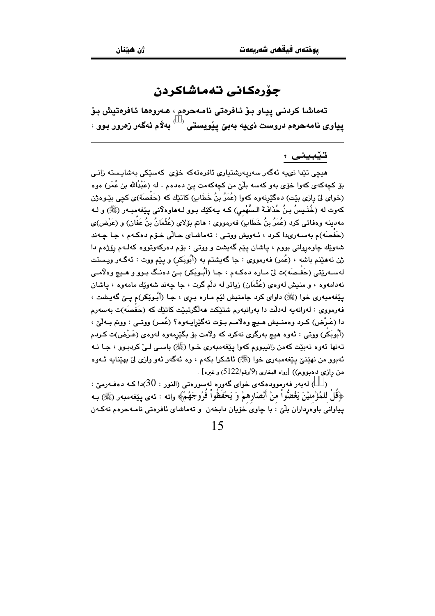### جۆرەكانى تەماشاكردن

تەماشا كردنى يياو بىۆ ئافرەتى نامەحرەم ، ھەروەھا ئافرەتيش بىۆ پياوى نامەحرەم دروست نىيە بەبێ پێويستى <sup>‹ ›</sup> بەلاّم ئەگەر زەرور بوو ›

#### تێبيني :

مىچى تێدا نىپە ئەگەر سەرپەرشتيارى ئافرەتەكە خۆي كەسێكى بەشاپستە زانـى بۆ كچەكەي كەوا خۆي بەو كەسە بلّێ من كچەكەمت پێ دەدەم . لە (عَبْدُالله بن عُمَر) ەوە (خواي ليْ رازي بيْت) دهگێرنهوه كهوا (عُمَرُ بنُ خَطَابٍ) كاتێك كه (حَفْصَة)ي كچي بێـوهژن كەوت لە (خُنَـٰـيسُ بـنُ حُذَافَـةَ الـسَّهْمى) كـه يـهكێك بـوو لـهماوهلانى پێغەمبـەر (ﷺ) و لـه مەدىنە وەفاتى كرد (عُمَرُ بنُ خَطَابٍ) فەرمورى : ھاتم بۆلاى (عُثْمَانُ بنُ عَفَان) و (عَرْض)ى (حَفَصَه)م بهسـهريدا كـرد ، ئـهويش ووتـي : تهماشـاي حـالّي خـوّم دهكـهم ، جـا چـهند شهونِك چاوهرواني بووم ، ڀاشان ڀنڀم گهيشت و ووتي : بوْم دهركهوتووه كهكم رۆژەم دا ژن نههێنم باشه ، (عُمر) فهرمووي : جا گهيشتم به (أُبُوبَكر) و پێم ووت : ئهگـهر ويـستت لەسەرتتى (حَفَـصَه)ت لِيٌ مـارە دەكـهم ، جـا (أَبُـوبَكر) بـيِّ دەنـگ بـوو و هـيـچ وەلاّمـي نهدامهوه ، و منيش لهوهي (عُثْمَان) زياتر له دلْم گرت ، جا چهند شهوێك مامهوه ، پاشان يٽِغهمبهري خوا (ﷺ) داواي کرد ڄامنيش لٽم مـاره بـري ، جـا (أَبـوٽِڪر)م پـێ گهيـشت ، فەرمووى : لەوانەيە لەدلّت دا بەرانبەرم شتێكت ھەلگرتبێت كاتێك كە (حَفْصَه)ت بەسەرم دا (عَـرْض) كـرد وهمنــيش هــيـچ وهلاّمــم بــوّت نهگێرايــهوه؟ (عُمــر) ووتــي : ووتم بــهلّـيّ ، (أَبُوبَكر) ووتی : ئەوە ھیچ بەرگری نەكرد كە ولاّمت بۆ بگێرمەوە لەوەی (عَـرْض)ت كـردم تهنها ئهوه نهبيّت کهمن زانيبووم کهوا پيّغهمبهري خـوا (ﷺ) باسـي لـيٰ کردبـوو ، جـا نـه ئهبوو من نهێنێ پێغهمبهري خوا (ﷺ) ئاشكرا بكهم ، وه ئهگهر ئهو وازي ليّ بهێنايه ئـهوه من رازی دهبووم)) [رواه البخاری (9/رقم/5122) و غیره] .

ز ) لەبەر فەرموودەكەي خواي گەورە لەسورەتى (النور : 30)دا كـە دەفـەرمىّ : ﴿قُلْ لِلْمُؤْمِنِينَ يَغُضُّواْ مِنْ أَبْصَارِهِمْ وَ يَحْفَظُواْ فَرُوجَهُمْ﴾ واته : ئەي يـێفەمبەر (ﷺ) بـه پیاوانی باوهرداران بلّیٰ : با چاوی خوّیان دابخهن ۖ و تهماشای ئافرهتی نامـهحرهم نهکـهن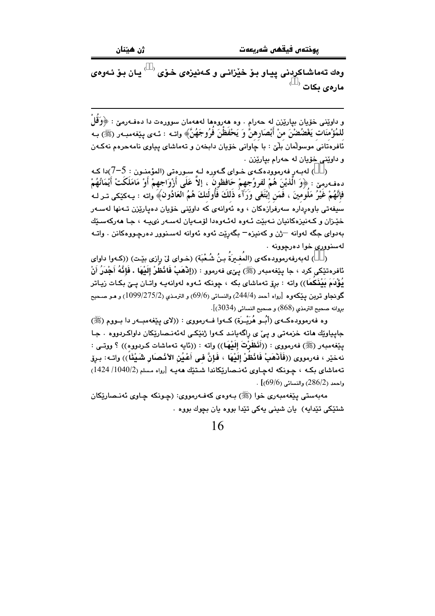وهك تەماشاكردنى يياو بىۆ خێزانى و كـەنيزەي خىۆي ′ ` يان بىۆ ئـەوەي مارەي بكات <sup>( \_)</sup>

و داوێنی خۆیان بپارێزن له حەرام . وه هەروەها لەهەمان سوورەت دا دەفـەرمێ : ﴿وَقُلْ للْمُؤْمِنَات يَغْضُضْنَ منْ أَبْصَارِهنَّ وَ يَحْفَظْنَ فَرُوجَهُنَّ﴾ واتــه : ئــهى يـێغهمبـهر (ﷺ) بـه ئافرەتانى موسولْمان بِلْيْ : با چاوانى خۆيان دابخەن و تەماشاي پياوى نامەحرەم نەكـەن و داويني خوّيان له حهرام بياريّنن .

ب ) له به رفه رمووده که ی خوای گهوره لـه سورهتی (المؤمنون  $5$  : 5-7)دا ک دهفهرمِين : ﴿وَ الَّذِيْنَ هُمْ لَفُروُجِهِمْ حَافَظُونَ ، إلاَّ عَلَى أَزْوَاجِهِمْ أَوْ مَامَلَكَتْ أَيْمَانُهُمْ فإنَّهُمْ غَيْرُ مَلومينَ ، فمَن إبْتَغَى وَرَآء ذلكَ فأولئكَ هُمُ العَادُونَ﴾َ واته : يـهكێكى تـر لـه سیفەتی باوەردارە سەرفرازەكان ، وە ئەوانەی كە داوێنى خۆيان دەپارێزن تـەنھا لەسـەر خێـزان و کـهنيزهکانيان نـهبێت ئـهوه لهئـهوهدا لۆمـهيان لهسـهر نوبيـه ، جـا ههرکهسـێك بهدواي جگه لهوانه –ژن و كهنيزه– بگهرێت ئهوه ئهوانه لهسـنوور دهرچـووهكانن . واتــه لهسنووري خوا دهرچوونه .

( ) له به رفه رموود مكه ي (المُغيرَةُ بنُ شُعْبَة) (خـواي ليْ رازي بيّـت) ((كـهوا داواي ئافرەتێكى كرد ، جا يێغەمبەر (ﷺ) يـێى فەرموو : ((إِنْهَبْ فَانْظرْ إِلَيْهَا . فَإِنَّهُ أَجْدَرُ أَنْ يُؤْدَمَ بُيْنُكمَا)) واته : برِق تەماشاي بكه ، چونكه ئـهوه لهوانهيـه واتـان پـێ بكـات زيـاتر گونجاو تربن پێکەوە [رواه أحمد (244/4) والنسائى (69/6) و الترمذي (275/2/99/275) و مـو صـحيح بروانه صحيح الترمذي (868) و صحيح النسائي (3034)].

وه فهرموودهکـهي (أَبُــو هُرَيْــرَة) کــهوا فــهرمووي : ((لاي بيێغهمبــهر دا بــووم (ﷺ) جايياوێك هاته خزمهتي و ييّ ي راگهياند كـهوا ژنێكـي لهئهنـصارێكان داواكـردووه . جـا يَيْغَهْمَبُهْرِ (ﷺ) فَهْرَمُووِي : ((أَفَظَرْتُ إِلَيْهَا)) واته : ((ئايه تَهْمَاشَات كَـرْدُووه)) ؟ ووتسى : نهخيْر ، فەرمووى ((فَأَنْهَبْ فَانْظُرْ إِلَيْهَا ، فَإِنَّ في أَعْيُنِ الأَنْصِبَارِ شَيْئًا)) واتـه: بـرق تەماشاي بكه ، چونكە لەچاوى ئەنىصارێكاندا شىتێك ھەپە [رواء مسلم (1040/2/ 1424)  $\cdot$  واحمد (286/2) والنسائي (69/6)] .

مەبەستى يێغەمبەرى خوا (ﷺ) بـەوەي كەفـەرمورى: (چـونكە چـاوي ئەنـصارێكان شتێکی تێدایه) یان شینی یهکی تێدا بووه یان بچوك بووه .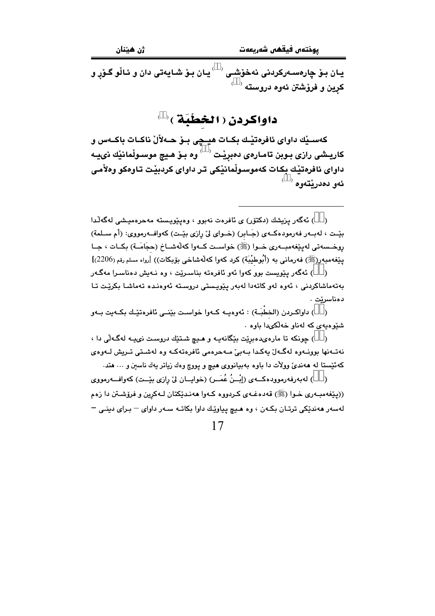<sup>( )</sup> يان بِيْ شايهتي دان و ئـالْو گـۆر و يـان بـۆ چارەسـەركردنى نەخۆشـى کرین و فرۆشتن ئەوە دروستە <sup>( \_ )</sup>

داواكردن ( الخطْبَة )

كەسىيك داواي ئافرەتيىك بكـات ھيـڃى بـۆ ھـەلألْ ناكـات باكـەس و کاریـشی رازی بـوبن تامـار*هی* دهبریـْت <sup>( \_)</sup> وه بـوّ هـیچ موسـولْمانیْك نىيـه داوای ئافرەتيّك بكات كەموسىولْمانيْكى تر داوای كردبيّت تـاوەكو وەلاّمى ئەو دەدرنتەوە

( ) ئەگەر يێويست بوو كەوا ئەو ئافرەتە بناسىرێت ، وە نـەيش دەناسىرا مەگـەر بەتەماشاكردنى ، ئەوە لەو كاتەدا لەبەر يۆيستى دروستە ئەوەندە تەماشا بكريّت تا دەناسرێت .

( ) داواكــردن (الخطْبَــة) : ئەوەپــە كــەوا خواسـت بێنــى ئافرەتێـك بكــەيت بــەو شتوه به ی که له ناو خه لکیدا باوه

( ) چونکه تا مارهىدەبريت بيكانەيـه و هـيـ شـتيك دروست نىيـه لهگـهلّى دا ، نەتـەنھا بوونـەوە لەگـەلٌ يەكـدا بـەبىؒ مـەحرەمى ئافرەتەكـە وە لەشـتى تـريش لـەوەى کهئیستا له ههندیٰ وولات دا باوه بهبیانووی هیچ و پووچ وهك زیاتر یهك ناسین و … هتد.

) لەبەرفەرموودەكــەي (إِيْــنُ عُمَــر) (خواپــان ليّ رازي بێــت) كەوافــەرمووي  $\rightarrow$ ((پێغهمبـهري خـوا (ﷺ) قهدهغـهي كـردووه كـهوا ههنـدێكتان لـهكرين و فرۆشـتن دا زهم لهسهر ههنديكي ترتـان بكـهن ، وه هـيچ پياويّك داوا بكاتـه سـهر داواي – بـراي دينـي –

<sup>( )</sup> ئەگەر يزيشك (دكتۆر) ي ئافرەت نەبور ، وەيٽويستە مەحرەميشى لەگەلّدا بيِّـت ، لهبـهر فهرمودهكـهى (جَـابر) (خــواى ليِّ رازى بيّـت) كهوافــهرمووى: (أم ســلمة) روخـسەتى لەيێغەمبــەرى خــوا (ﷺ) خواســت كــەوا كەلەشــاخ (حجَامَــة) بكــات ، جــا ينغەمبەر(ﷺ) فەرمانى بە (أَبُوطيْبَة) كرد كەوا كەلەشاخى بۆبكات)) [رواء مسلم رقم (2206)]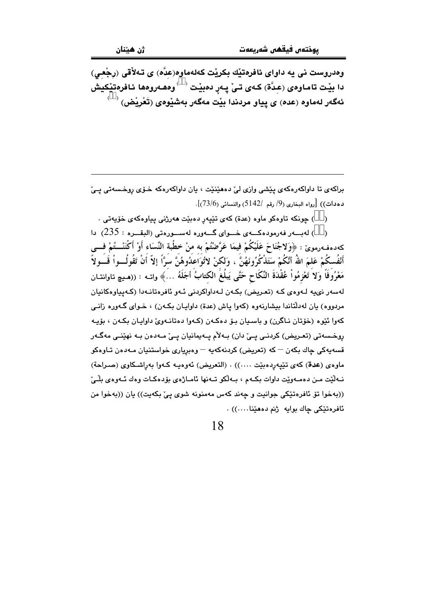وهدروست ني په داواي ئافرهتيّك بكريْت كەلەماوە(عدّە) ي تـﻪلأقي (رجْعي) دا بيّت تاماوهى (عِدَّة) كـهى تـىٰ پـهرِ دەبيْت  $\langle\;\;\rangle$ وهـهروهها ئـافرەتيْكيش ئەگەر لەماوە (عدە) ى يياو مردندا بێت مەگەر بەشێوەى (تَعْرِيْض)  $\overset{\leftarrow}{\longrightarrow}$ 

براکهي تا داواکهرهکهي پيشي وازي ليّ دههينيّت ، پان داواکهرهکه خـوّي روخـسهتي پـيّ  $(73/6)$  دهدات)) [رواه البخاري (9/ رقم /142) والنسائي (73/6)].

( ) چونکه تاوهکو ماوه (عدة) کهی تێپهرِ دهبێت ههرژنی پیاوهکهی خۆپهتی .

( ) لەببەر فەرمودەكسەي خسواي گسەورە لەسسورەتى (البقسرە : 235) دا كەدەڧەرموێ : ﴿وَلاجُنَاحَ عَلَيْكُمْ فِيمَا عَرَّضْتُمْ بە منْ خطْبة النِّسَاء أَوْ أَكْنَنْـــتُمْ فـــى أَنْفُسكُمْ عَلمَ اللهُ أَنَّكُمْ سَتَذْكُرُونَهُنَّ ، وَلكنْ لاُتُوَاعَدُوهُنَّ سَرًّا إلاّ أنْ تَقُولُــواْ قَــَولاً مَعْرُوفَاً وَلاَ تَعْزِمُواْ عُقْدَةَ النِّكَاحِ حَتَّى يَبلُغَ الكتابُ أجَلَهُ …َ﴾ واتــه : ((هـيـ۾ تاوانتـان .<br>لەسەر نىيە لـەوەي كـە (تعـريض) بكـەن لـەداواكردنى ئـەو ئافرەتانـەدا (كـەيياوەكانيان مردووه) يان لهدلتاندا بيشارنهوه (كهوا ياش (عدة) داوايـان بكـهن) ، خـواي گـهوره زانـي کهوا ئێوه (خۆتان نـاگرن) و باسـيان بـۆ دەکـهن (کـهوا دەتانـهویٰ داوايـان بکـهن ، بۆيـه روخسەتى (تعریض) كردنـي يـيّ دان) بـﻪلاّم پـﻪيمانيان يـيّ مـﻪدەن بـﻪ نهێنـي مەگـﻪر ۔<br>قسەپەكى چاك بكەن <sup>ـــ</sup> كە (تعريض) كردنەكەپە <sup>ـــ</sup> وەبريارى خواستنيان مـەدەن تـاوەكو ماوهي (عدة) كهي تێيهردهبێت ....)) . (التعريض) ئهوهيه كـهوا بهراشـكاوي (صـراحة) نـه لَيْت مـن دهمـهويّت داوات بكـهم ، بـهلكو تـهنها ئامـاژهى بۆدهكـات وهك ئـهوهى بِلْـيِّ ((بهخوا تق ئافرەتێكى جوانيت و چەند كەس مەمنونە شوى يېّ بكەيت)) يان ((بەخوا من ئافرەتێكى چاك بوايە ژنم دەھێنا....)) .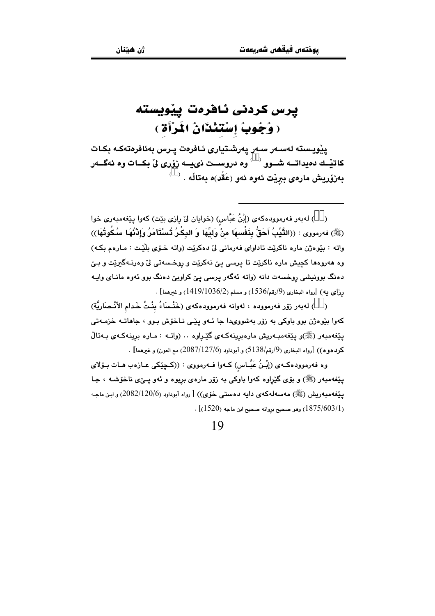## يرس كردنى ئافرەت ييويسته ( وُجُوبُ إِسْتَئْذَانُ الْمَرْأَةِ )

ييويسته لەسەر سەر يەرشتيارى ئافرەت يىرس بەئافرەتەكە بكات کاتیـّـك دەيداتـــه شــوو <sup>( )</sup> وه دروســت نىيـــه زۆرى لى بكــات وه ئهگـــهر  $\overset{\leftarrow}{\longrightarrow}$  بەزۆريش مارەي بېرێت ئەوە ئەو (عَقْد)ە بەتاڵە

( ) لەبەر فەرموودەكەي (إِبْنُ عَبَّاس) (خوايان لِیْ رِازِي بِیْت) كەوا پِیْغەمبەری خوا (ﷺ) فەرمورى : ((الثَّيِّبُ أَحَقُّ بِنَفْسهَا مِنْ وَليِّهَا وَ البِكْرُ تُسْتَأَمَرُ وَإِدْنُهَا سُكُوتُهَا)) واته : بێوهژن ماره ناکرێت تاداوای فهرمانی ليّ دهکرێت (واته خـوّی بلێت : مـارهم بکـه) وه هەروەها كچيش مارە ناكرێت تا پرسى يێ نەكرێت و روخسەتى لێ وەرنـﻪگىرێت و بـێ دہنگ بوونیشی روخسهت دانه (واته ئهگەر پرسی یئ کراویئ دہنگ بوو ئەوہ مانای واپـه رزای به) [رواه البخاری (9/رقم/1536) و مسلم (1419/1036) و غیرهما] .

( ) له به رزوّر فه رمووده ، له وانه فه رمووده كه ي (خَنْساءُ بِنْتُ خَدام الأنْـصَارِيَّة) کهوا بێوهژن بوو باوکی به زۆر بهشوویدا جا ئـهو یێـی نـاخۆش بـوو ، جاهاتـه خزمـهتی پێغەمبەر (ﷺ)و پێغەمبەريش مارەبرِينەكەي گێرِاوە ٠٠ (واتـە : مـارە برينەكـەي بـەتالْ كردهوه)) [رواه البخاري (9/رقم/5138) و أبوداود (2087/127/6) مع العون) و غيرهما] .

وه فەرموودەكـەي (إِبْـنُ عَبَّـاس) كـەوا فــەرمووى : ((كــڃێكى عـازەب هـات بـۆلاى يێغەمبەر (ﷺ) و بۆي گێراوه كەوا باوكى بە زۆر مارەي بريوه و ئەو يـــێي ناخۆشــه ، جـا يێغەمبەريش (ﷺ) مەسەلەكەي دايە دەستى خۆي)) [ رواە أبوداود (2082/120/6) و ابـن ماجـە . [1875/603/1]) وهو صحيح بروانه صحيح ابن ماجه (1520)] .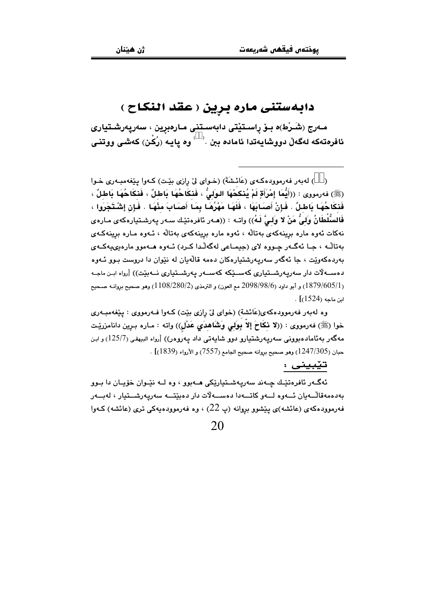### دابهستنی ماره برین ( عقد النکاح )

مـەرج (شَـرْط)ە بـۆ راسـتێتى دابەسـتنى مـارەبرين ، سەريەرشـتيارى ئافرەتەكە لەگەلْ دووشايەتدا ئامادە ببن  $\cdot$  وە يايـە (رُكْن) كەشى ووتنى

( ) لهبهر فهرموودهكهي (عَائشَةَ) (خـواي ليّ رازي بيّت) كـهوا ييّغهمبـهري خـوا (ﷺ) فەرمورى : ((أَيُّمَا إِمْرَأَةٍ لَمْ يُنْكَحْهَا اللوَلىُّ ، فَنَكَاحُهَا بَاطْلٌ ، فَنكَاحُهَا بَاطْلٌ ، فَنكَاحُهَا بَاطلٌ . فَإِنْ أَصَابَهَا ، فَلَهَا مَهْرُهَا بِمَا أَصَابَ مِنْهَا . فَإِن إشْتَجَرَوا ، فَالسُلْطَانُ وَلَىُّ مَنْ لا وَلَـىَّ لَـهُ)) واتـه : ((هـهر ئافرەتێـك سـهر يـهرشـتيارەكهى مـارەی .<br>نهکات ئەوە مارە برینەکەی بەتالە ، ئەوە مارە برینەکەی بەتالە ، ئـەوە مـارە برینەکـەی بەتالّە ، جـا ئەگـەر چـووە لاي (جيمـاعي لەگەلّدا كـرد) ئـەوە ھـەموو مارەبىييەكـەي بەردەكەوێت ، جا ئەگەر سەرپەرشتيارەكان دەمە قالْەيان لە نێوان دا دروست بـوو ئـەوە دەســەلات دار سەريەرشــتيارى كەســدِّكە كەســەر يەرشــتيارى نــەيدِّت)) [رواه ايـن ماجـە ر 1879/605/1) و أبو داود (98/98/6 مم العون) و الترمذي (280/28/1) وهو صحيح بروانـه صـحيح (280/  $\cdot$  [(1524) ابن ماجه

وه لهبهر فهرموودهکهی(عَائشة) (خوای ليّ رازی بيّت) کـهوا فـهرمووی : پيّغهمبـهري خوا (ﷺ) فه رمووى : ((لا نكَاحَ إلاّ بِوَلى وَشَاهدَى عَدْلٍ)) واته : مـاره بـرين دانامزريّـت مەگەر بەئامادەبوونى سەريەرشتيارو دوو شايەتى داد پەروەر)) [رواە البيهقى (125/7) و ابن حبان (1247/305) وهو صحيح بروانه صحيح الجامع (7557) و الأرواء (1839)] .

#### تێبینی :

ئهگـهر ئافرهتێـك چـهند سهريهشـتيارێِكي مـهبوو ، وه لــه نێـوان خۆپـان دا بـوو بەدەمەقالّــەيان ئـــەوە لـــەو كاتـــەدا دەســـەلاّت دار دەبێتـــە سەريەرشـــتيار ، لەبـــەر فهرموودهکهی (عائشه)ی پێشوو بروانه (پ 22) ، وه فهرموودهیهکی تری (عائشه) کـهوا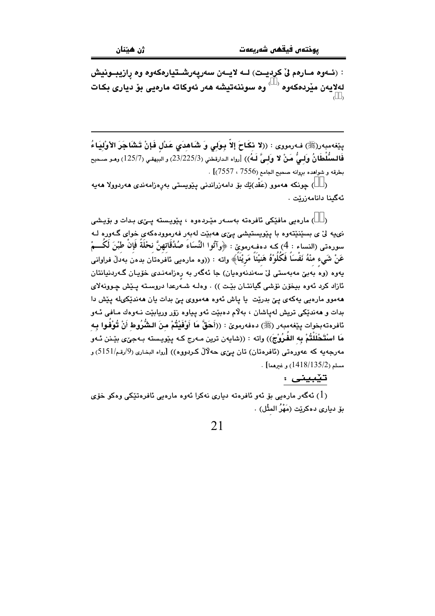: (ئــهوه مــارهم ليّ كرديــت) لــه لايــهن سهريهرشــتيارهكهوه وه رازيبــونيش لەلايەن مێردەكەوە <sup>‹ </sup> ) وە سوننەتيشە ھەر ئەوكاتە مارەيى بۆ ديارى بكات  $($ )

يِيّفهمبهر(ﷺ) فـهرمووى : ((لا نكَاحَ إِلاّ بِوَلَى وَ شَاهدَى عَدْل فَإِنْ تَشَاجَرَ الأوْلِيَاءُ فَالسِّلْطَانُ وَلِيُّ مَنْ لا وَلِيَّ لَـهُ)) [رواه الدارقطني (23/225/3) و البيهقي (125/7) وهـو صـحيح بطرقه و شواهده بروانه صحيح الجامع (7556 ، 7557)] .

( ) چونکه هەموو (عَقْد)ێك بۆ دامەزراندنى يَـێويستى بەرەزامەندى ھەردوولا ھەيە ئەگىنا دانامەزرێت .

( ) مارەيى مافێكى ئافرەتە بەسـەر مێـردەوە ، يێويـستە يـێى بـدات و بۆيـشى نی په لی ی بسینیتهوه با پیویستیشی یی ی هه بیت له به ر فه رمووده که ی خوای گهوره لـه سورهتي (النساء : 4) كـه دهفـهرمويّ : ﴿وآتُوا النِّسَاءَ صُدُقَاتهنَّ نحْلَةً فَإِنْ طبْنَ لَكُـــمْ عَنْ شَيء منْهُ نَفْسَاً فَكُلُوْهُ هَنيْئَاً مَرِيْئَاً﴾ واته : ((وه مارهيي ئافروتان بدون بەدلٌ فراوانى يەوە (وەَ بەبىٚ مەبەستى لىْ سەندنەوەيان) جا ئەگەر بە رەزامەنىدى خۆيـان گـەردنيانتان ئازاد كرد ئەوە بيخۆن نۆشى گيانتـان بێت )) . وەلــه شــەرعدا دروسـتـه يـێش چـوونهلاي ههموو مارهيي پهکهي يێ بدرێت يا ياش ئهوه ههمووي يێ بدات يان ههندێکيله يێش دا بدات و هەندێکی تریش لەیاشان ، بەلام دەبێت ئەو پیاوە زۆر وریابێت نـەوەك مـافی ئـەو ئافرەتەبخوات يێغەمبەر (ﷺ) دەفەرموێ : ((أَحَقَّ مَا أَوْفَيْتُمْ منَ الشُّرُوط أَنْ تُوْفُوا بِـه مَا اسْتَحْلَلْتُمْ بِه الفُرُوْجَ)) واته : ((شايهن ترين مـهرج كـه پێويـسته بـهجىٚى بێـنن ئـهو مەرجەيە كە عەورەتى (ئافرەتان) تان يېّى حەلالْ كـردووە)) [رواه البخارى (9/رقم/5151) و  $\cdot$  [مسلم (135/2/138) وغيرهما]

#### تێبینی :

ا) ئەگەر مارەيے، بۆ ئەو ئافرەتە دىيارى نەكرا ئەوە مارەيى ئافرەتێكى وەكو خۆى  $(1)$ يق دباري دەكرێت (مَهْرُ المِثْل) .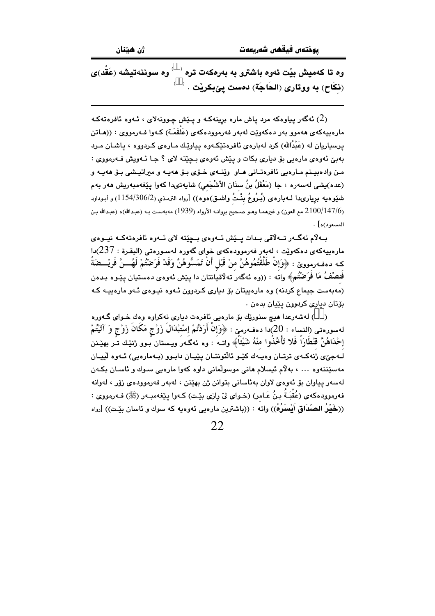ژن هيٽنان

وه تا کهمیش بنت ئهوه باشترو به بهرهکهت تره  $\ell$ وه سوننهتیشه (عَقِّد)ی (نِكَاح) به ووتارى (الحَاجَة) دەست يێبكرێت . <sup>( \_)</sup>

ثهگهر ییاوهکه مرد یاش ماره برینهکه و یـێش چـوونهلای ، ئـهوه ئافرهتهکـه  $(2)$ مارهبيهکهي ههموو بهر دهکهوێت لهبهر فهرموودهکهي (عَلَقَمَـة) کـهوا فـهرمووي : ((هـاتن یرسیاریان له (عَبْدُالله) کرد لهبارهی ئافرهتێِکهوه پیاوێك مـارهی کـردووه ، پاشـان مـرد بهبيّ ئهوهي مارهيي بوّ دياري بکات و پێش ئهوهي بـڃێته لاي ؟ جـا ئـهويش فـهرمووي : من وادهبيـنم مـارهيي ئافرهتـاني هـاو وێنـهي خـۆي بـۆ ههيـه و مىراتيـشي بـۆ هەيـه و (عده)يشي لهسهره ، جا (مَعْقَلُ بنُ سنَان الأشْجَعي) شايهتىدا كهوا پێغهمبهريش ههر بهم شَيْوهيه بريارىدا لــهبارهي (بُـرُوعُ بِنْـتُ واشـق)هوه)) [رواه الترمـذي (2/306/1154) و أبـوداود (2100/147/6 مع العون) و غيرهمـا وهـو صـحيح بروانـه الأرواء (1939) مهبهسـت بـه (عبـدالله)ه (عبـدالله بـن المسعود)ه] .

بِـهِلْام ئەگــەر تــەلاقى بـدات يــێش ئــەوەي بــچێتە لاي ئــەوە ئافرەتەكــە نيــوەي مارەبيەكەي دەكەوپّت ، لەبەر فەرموۋدەكەي خواي گەورە لەسىورەتى (البقىرة $7:237$ دا كـه دهفـهرمووێ : ﴿وَإِنْ طَلَّقْتُمُوهُنَّ منْ قَبْلِ أَنْ تَمَسُّوهُنَّ وَقَدْ فَرَضْتُمْ لَهُـــنَّ فَرِيْـــضَةً فَنصْفُ مَا فَرَضْتُم» واته : ((وه ئەگەر تەلاقيانتان دا پێش ئەوەي دەستيان پێوە پدەن (مەبەست جیماع کردنە) وە مارەپیتان بۆ دیارى کردوون ئـەوە نیـوەي ئـەو مارەپیـە کـە يۆتان دېارې کردوون پٽيان بدهن .

( ) لەشەرعدا ھىچ سنورتك بۆ مارەبى ئافرەت دېارى نەكراوە وەك خواي گەورە لهسورهتي (النساء : 20)دا دهفـهرميّ : ﴿وَإِنْ أَرَدْتُمْ إِسْتَبْدَالَ زَوْجٍ مَكَانٌ زَوْجٍ وَ آتَيْتُمْ إحْدَاهُنَّ قَنْطَارَاً فَلا تَأْخُذُوا منْهُ شَيْئَاً﴾ واتـه َ : وه نـُه گـهرَ ويـستان بُـوو ژنێك تـر بهێـنن لـهجےٰی ژنهکـهی ترتـان وهبـهك كێـو ئاڵتونتـان بێپـان دابـوو (بـهمارهبی) ئـهوه لّيبـان مەسٽننەوە ... ، پەلام ئېسلام ھانى موسولمانى داوە كەو! مارەپى سىوك و ئاسان يكەن لەسەر يياوان بۆ ئەوەي لاوان پەئاسانى پتوانن ژن پھٽنن ، لەپەر فەرموودەي زۆر ، لەوانە فهرموودهكهي (عُقْبَـةٌ بـنُ عَـامر) (خـواي ليْ رازي بيّـت) كـهوا يـيْغهمبـهر (ﷺ) فـهرمووي : ((خَيْرُ الصَّدَاقِ أَيْسَرُهُ)) واته : ((باشترين مارهيي ئەوەپە كە سوك و ئاسان بێت)) [رواه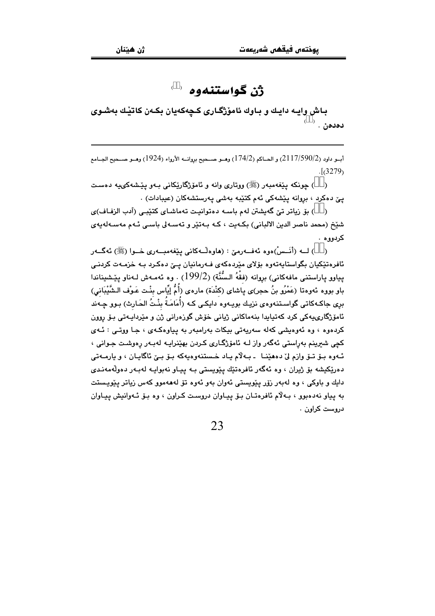### ژن گواستنهوه پ

باش وايـه دايـك و بـاوك ئامۆژگـارى كـچەكەيان بكـەن كاتێـك بەشـوى  $\overset{\scriptscriptstyle(-)}{\mathcal{L}}$ ، دەدە $\overset{\scriptscriptstyle(-)}{\mathcal{L}}$ 

أبــو داود (2/117/590/2) و الحــاكم (174/2) وهــو صـــحيح بروانــه الأرواء (1924) وهــو صــحيح الجــامع  $\sqrt{(3279)}$ 

) چونکه پێغهمبهر (ﷺ) ووتاري وانه و ئامۆژگارێکاني بـهو پێشهکيپيه دهست  $\rightarrow$ يے دەكرد ، بروانە يێشەكى ئەم كتێبە بەشى پەرستشەكان (عيبادات) .

() بۆ زياتر تى گەيشتن لەم باسە دەتوانيت تەماشاي كتيبى (آدب الزفاف)ى شێخ (محمد ناصر الدین الالبانی) بکەیت ، کـه بـەتێر و تەسـەلى باسـى ئـهم مەسـەلەپەی کردووه .

( ) لــه (أَنَــسْ)ەوه ئەفــەرمىّ : (ھاوەڵــەكانى يێغەمبــەرى خــوا (ﷺ) ئەگــەر ئافرەتێکیان بگواستاپەتەوە بۆلاى مێردەكەي فـﻪرمانيان يـێ دەكـرد بـﻪ خزمـﻪت كردنـﻲ يياوو ياراستني مافهكاني) بروانه (فقْهُ السُّنَّة) (199/2) . وه ئهمـهش لـهناو يێشيناندا باو بووه ئەوەتا (عَمْرُو بنُ حجر)ى ياشاى (كنْدَة) مارەي (أُمُّ إِيِّاس بِنْت عَـوْف الـشَّيْبَانى) بري ڇاکـهڪاتي گواسـتنهو.وي نزيـك پويـهو.و دابـکـي کـه (أُمَامَـةُ بِنْـتُ الجَـارِث) پـوو چـهند ۔<br>ئامۆ<u>ژ</u>گارىيەكى كرد كەتبابدا بنەماكانى ژيانى خۆش گوزەرانى ژن و مٽرداپەتى يۆ روون کردهوه ، وه ئەوەبشى کەلە سەريەتى بېكات بەرامبەر بە پياۋەكەي ، چا ۋوتىي : ئـەي کچی شیرینم پەراستی ئەگەر واز لـه ئامۆزگـاری کردن پهٽنراپـه لەپـەر رەوشـت چـوانی ، ئـهوه يـۆ تـۆ وازم ليّ دەھێنـا ـ يـهلاّم يـاد خـستنهوهبهكه يـۆ يـيّ ئاگايـان ، و بارمـهتى دەرێکیشه بۆ ژیران ، وه ئەگەر ئافرەتێك یێویستی بـه ییـاو نەبوایـه لەبـەر دەولّەمەنـدى دايك و باوكي ، وه لهېەر زۆر پێويستى ئەوان بەو ئەوە تۆ لەھەموو كەس زياتر پێويستت به پیاو نه دهبوو ، بـهلاّم ئافرهتـان بـوّ پیـاوان دروست کـراون ، وه بـوّ ئـهوانیش پیـاوان دروست کراون .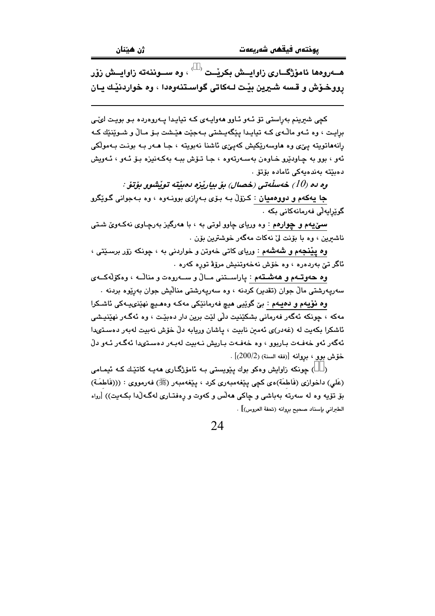هـــهروهها ئامۆژگــاري زاوابــش بكرنْــت  $\langle\;\;\rangle$  وه ســوننهته زاوابــش زۆر رووخـوْش و قـسه شـيرين بيّـت لـهكاتي گواسـتنهوهدا ، وه خواردنيّـك يـان

کچی شیرینم بهراستی تۆ ئـهو ئـاوو ههوایـهی کـه تیایـدا یـهروهرده بـو بویـت لو⁄ـی برايـت ، وه ئــهو ماڵـهي كـه تيايـدا يێگهيـشتي بـهجێت هێـشت بـۆ مـاڵ و شـوێنێك كـه رانههاتويته ييِّ وه هاوسهريِّكيش كهييِّ ئاشنا نهبويته ، جا هـهر بـه بونت بـهمولكي ئەو ، بوو بە چاودێرو خاوەن بەسەرتەوە ، جا تۆش ببە بەكەنىزە بۆ ئەو ، ئەويش دەبێتە بەندەيەكى ئامادە بۆتۆ .

وه ده (10) خەسلەتى (خصال) بۆ بياريزە دەبنتە توپشوو بۆتۆ :

جا پهکهم و دووهميان : کـزۆلّ بـه بـۆی بـهرازی بوونـهوه ، وه بـهجوانی گـوێگرو گوێرايەڵى فەرمانەكانى بكە ٠

سمیٰیهم و چوارهم : وه وریای چاوو لوتی به ، با ههرگیز بهرچاوی نهکهویؒ شتی ناشيرين ، وه با بۆنت ليٌ نهكات مەگەر خوشترين بۆن .

وه پ**ینج**هم و **شهشه**م : وریای کاتی خهوتن و خواردنی به ، چونکه زۆر برسـێتی ، ئاگر تێ بەردەرە ، وە خۆش نەخەوتنىش مرۆۋ تورە كەرە .

وه حەوتــهم و ھەشــتـهم : ياراســتنى مــالٌ و ســـهروهت و منالّــه ، وهكۆلّەكـــهى سەريەرشتى مالْ جوان (تقدير) كردنە ، وە سەريەرشتى منالْيش جوان بەرێوە بردنە .

وه نوّیهم و دهیـهم : بیّ گوێیی هیچ فهرمانێکی مهکـه وههـیچ نهێنىیـهکی ئاشـکرا مەكە ، چونكە ئەگەر فەرمانى بشكێنىت دڵى لێت برين دار دەبێت ، وە ئەگەر نھێنيىشى ئاشكرا بكەيت لە (غەدر)ى ئەمىن نابيت ، ياشان وريابە دلّ خۆش نەبيت لەبەر دەسىتەبدا ئەگەر ئەو خەفـەت بـاربوو ، وە خەفـەت بـاريش نـەبيت لەبـەر دەسـتىدا ئەگـەر ئـەو دلّ  $[200/2)$  حُوِّش موبي ، مروانه [(فقه السنة) (2 $[200/2]$  .

( ) چونکه زاوایش وهکو بوك پێویستی بـه ئامۆژگـاری ههیـه کاتێـك کـه ئیمـامی (عَلَى) داخوازي (فَاطمَة)ەي كچى يَيْغەمبەرى كرد ، يَيْغەمبەر (ﷺ) فەرمووى : (((فَاطمَة) بۆ تۆپە وه لە سەرتە بەباشى و چاكى ھەلّس و كەوت و رەفتـارى لەگـەلّدا بكـەيت)) [رواه الطبراني بإسناد صحيح بروانه (تحفة العروس)] .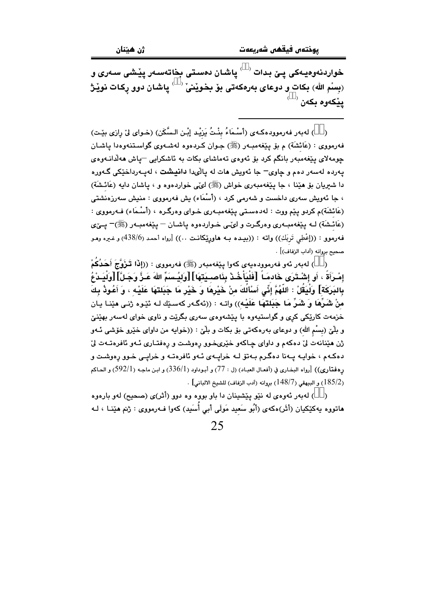خواردنەوەيـەكى يـێ بـدات ` ` ياشـان دەسـتى بخاتەسـەر يێـشى سـەرى و (بِسْمِ اللهِ) بِكات و دوعاى بِهرەكەتى بۆ بِخوێنىْ $\check{\mathcal{C}} \subset \check{\mathcal{C}}$ پاشان دوو رِكات نوێـژ  $^{\left(\phantom{a}\right)}$ پيکەوە بکەن

( ) لهبهر فهرموودهكهي (أَسْمَاءُ بِنْتُ يَزِيْد إِبْنِ السَّكَنِ) (خواي ليِّ رازي بِيِّتٍ) فهرمووي : (عَائشَة) م بوْ يِنْغهمبـهر (ﷺ) جـوان كـردهوه لهشـهوي گواسـتنـهوهدا يـاشـان چومەلاي پێغەمبەر بانگم كرد بۆ ئەوەي تەماشاي بكات بە ئاشكرايى <sup>—</sup>پاش ھەلّدانـەوەي يەردە لەسەر دەم و چاوى<sup>\_</sup> جا ئەويش ھات لە پالىدا **دانيشت** ، لەپبەرداخێكى گـەورە دا شیریان بو هینا ، جا پیغهمبەری خواش (ﷺ) ای بی خواردهوه و ، پاشان دایه (عَائشَة) ، جا ئەويش سەرى داخست و شەرمى كرد ، (أَسْمَاء) بش فەرمووى : منيش سەرزەنشتى (عَائشَة)م كردو يێم ووت : لهدهسـتي يێغهمبـهري خـواي وهرگـره ، (أَسْـمَاء) فـهرمووي : (عَائشَة) لــه يێغەمبــهري وەرگــرت و ليٽــي خــواردهوه يـاشــان – يێغهمبــهر (ﷺ)– يــێي فهرموو : ((إعْطِي تَربَكِ)) واته : ((بيده بـه هاورِيِّكانـت ..)) [رواه أحمد (438/6) و غيره ومـو صحيح بروانه (آداب الزفاف)] .

) لەبەر ئەو فەرموودەيەي كەوا يێغەمبەر (ﷺ) فەرمووي : ((إِذَا تَيزَوُّجَ أَحَدُكُمْ  $\lambda$ إِمْـرَأَةٌ ، أَو إِشْـتْرَى خَادمَـاً ۚ [فَلْنَأْخُـدْ بِذَاصِـبَدَتِهَا] [وَلِيُـسَمِّ اللهَ عَـزُّ وَجَـلَّ] [وَلْبَـدْعُ بِالبَرَكَة] وَلْيَقُلْ : اللَّهُمَّ إِنِّى أَسْأَلُكَ منْ خَيْرِهَا وَ خَيْرٍ مَا جَبَلتهَا عَلَيْه ، وَ أعُوذُ بكَ منْ شَرِّهَا وَ شَرِّ مَا جَبَلتهَا عَلَيْه)) واتـه : ((ئەگـەر كەسـێك لـه ئێـوه ژنـى مێنـا يـان خزمهت کاریکی کری و گواستیهوه با پیشهوهی سهری بگریت و ناوی خوای لهسهر بهینیّ و بلّیٰ (بِسْم الله) و دوعای بهرهکهتی بۆ بکات و بلّیٰ : ((خوایه من داوای خێرو خۆشی ئـهو ژن هێنانهت لیّ دهکهم و داوای چاکهو خێریخوو رهوشت و رهفتـاری ئـهو ئافرهتـهت لیّ دهکهم ، خوایـه یـهنا دهگـرم بـهتۆ لـه خرایـهى ئـهو ئافرهتـه و خرایـی خـوو رهوشـت و رهفتاري)) [رواه البخاري في (أفعال العبـاد) (ل : 77) و أبـوداود (336/1) و ابـن ماجـه (592/1) و الحـاكم . [185/2] و البيهقي (148/7) بروانه (آدب الزفاف) للشيخ الالباني] .

( ) له به ر ئه وه ي له نێو پێشينان دا باو بووه وه دوو (أثر)ى (صحيح) لهو بارهوه ماتووه يەكێكيان (أَثَر)ەكەي (أَبُو سَعيد مَولَى أَبى أُسَيد) كەوا فـەرمووى : ژنم مێنــا ، لــە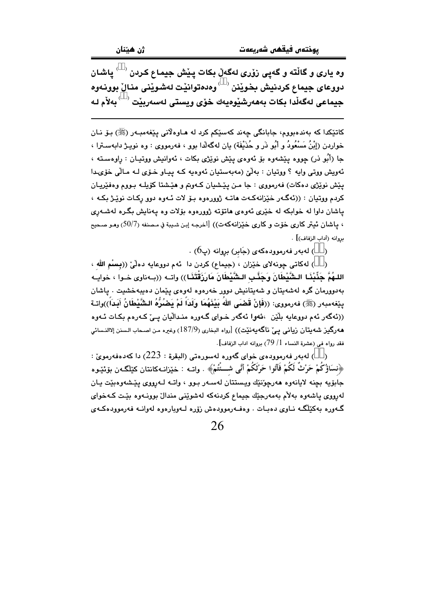دووعاى جيماع كردنيش بخويْنن <sup>( \_ )</sup> وەدەتوانيْت لەشويْنى منالْ بوونەوە 

کاتێکدا که بەندەبووم، جابانگی چەند کەسێکم کرد لە ھـاوەلانی پێغەمبـەر (ﷺ) بـۆ نـان خواردن (إِبْنُ مَسْعُودُ و أَبُو ذَر و حُذَيْفَة) بِان لهڱهلاا بوو ، فهرمووي : وه نويـژ دابهسـترا ، جا (أُبُو ذر) چووه پێشەوە بۆ ئەوەي پێش نوێژی بکات ، ئەوانیش ووتیـان : راوەسـتە ، ئەويش ووتى وايە ؟ ووتيان : بەلْيّ (مەبەستيان ئەوەبە كـه ييـاو خـۆي لـه مـالّى خۆي دا يٽش نوٽِڙي دهکات) فهرمووي : جا مـن يٽشيان کـهوبم و هٽِشتا کويلـه بـووم وهفٽِريـان کردم ووتيان : ((ئەگـەر خێزانەکـەت ھاتـە ژوورەوە بـۆ لات ئـەوە دوو رکـات نوێـژ بکـه ، ياشان داوا له خوابکه له خَيْري ئەوەي ھاتۆتە ژوورەوە بۆلات وە يەنايش بگـرە لەشـەرى ، ياشان ئيتر كاري خوّت و كاري خيّزانهكهت)) [أخرجه إبن شيبة في مصنفه (50/7) وهو صحيح مروانه (آداب الزفاف)] .

. ( ) لەبەر فەرموودەكەي (جَابر) بروانە (پ $(6)$ 

) له كاتي چونه لاي خيّزان ، (جيماع) كردن دا أنهم دووعايه دهلّيّ ((بسبْم الله ، اللـهُمَّ حَذِّننَـا الـشَّنْطَانَ وَحَنَّـبِ الـشَّنْطَانَ مَارِزَقْتَنَـا)) واتــه ((بــهناوي خــوا ، خوابــه بەدوورمان گرە لەشەپتان و شەپتانيش دوور خەرەوە لەوەي پێمان دەپبەخشىت . ياشان يِيْغهمبهر (ﷺ) فەرمووى: ((فَإِنْ قَضَى اللهُ بَيْنَهُمَا وَلَدَاً لَمْ يَصْنُرُهُ الشَّيْطَانُ أَبَداً))واتـة ((ئهگەر ئەم دووعايە بلُٽن )ئەول ئەگەر خواي گەورە منداللّيان يې كەرەم يكات ئەوە هەرگیز شەیتان زیانی یی ناگەیەنێت)) [رواه البخاری (187/9) وغیره من اصحاب الـسنن إلاالنـسائی فقد رواه في (عشرة النساء 1/ 79) بروانه اداب الزفاف].

( ) لەبەر فەرموودەي خواي گەورە لەسورەتى (البقرة : 223) دا كەدەفەرمويِّ : ﴿نسَاؤُكُمْ حَرْثٌ لَكُمْ فَأَتُوا حَرْثَكُمْ أَنِّي شَـــّْتُمْ﴾ . واتــه : خيٚزانــه كانتان كيْلْگــهن بۆئێـوه جابوّيه بچنه لايانهوه هەرچوّنێك ويستتان لەسـەر بـوو ، واتـه لـەرووى يێشەوەبێت يـان لەرووى ياشەوە بەلآم بەمەرجێك جيماع كردنەكە لەشوێنى مندالٌ بوونـەوە بێت كـەخواي گەورە بەكێڵگە نـاوى دەبـات . وەفـەرموودەش زۆرە لـەوبارەوە لەوانـە فەرموودەكـەي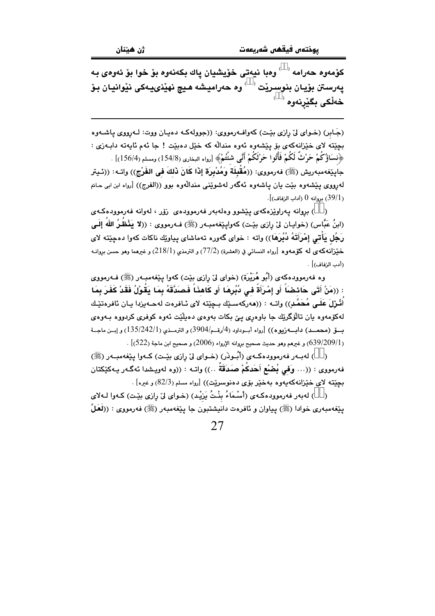كۆمەوە حەرامە ' ` وەبا نيەتى خۆيشيان ياك بكەنەوە بۆ خوا بۆ ئەوەي بە يەرسىتن بۆيـان بنوسىرێت ` ۢ وە حەراميشە ھـيچ نهێنىيـەكى نێوانيـان بـۆ خەلكى بگێرنەوە ``

(جَـابِرِ) (خـواي ليِّ رازي بيِّـت) كهوافــهرمووي: ((جوولهكـه دهيـان ووت: لــهرووي يـاشــهوه .<br>بچێته لای خێزانهکهی بۆ پێشەوه ئەوه مندالّه که خێل *د*ەبێت ! جا ئەم ئاپەتە دابـەزی : ﴿نِسَاؤُكُمْ حَرْثٌ لَكُمْ فَأْتُوا حَرْثَكُمْ أَنَّى شُتُّمْ﴾ [رواه البخارى (154/8) ومسلم (156/4)] . جايێغەمبەريش (ﷺ) فەرمورى: ((مُقْبِلَة وَمُدْبِرَة إِذَا كَانَ ذَلكَ في الفَرْج)) واتــه: ((ئـيتر لەرووى يێشەوە بێت يان ياشەوە ئەگەر لەشوێنى مندالْەوە بوو ((الفرج)) [رواه ابن ابى حامّ . (39/1) بروانه 0 (آداب الزفاف)].

) بروانه يەراوێزەكەي يێشوو وەلەبەر فەرموودەي زۆر ، لەوانە فەرموودەكـەي (ابنُ عَبَّاس) (خوايـان ليّ رازي بێت) كهوايێغهمبـهر (ﷺ) فـهرمووي : ((لا يَذْظُرُ اللهُ إِلَـى رَجُل يَأْتـي إمْرَأتَهُ دُبُرِهَا)) واته : خواي گەورە تەماشاي پياوێك ناكات كەوا دەچێتە لاي خَيْزانه كه ي له كوْمهوه [رواه النسائي في (العشرة) (77/2) و الترمذي (218/1) و غيرهما وهو حسن بروانـه (أدب الزفاف)] .

وه فەرموودەكەي (أَبُو هُرَيْرَة) (خواي ليْ رِازِي بيْت) كەوا پِيْغەمبەر (ﷺ) فــەرمووي : ((مَنْ أَتَى حَائِضَاً أَو إِمْرَأَةٌ في دُبُرِهَا أَو كَاهِذَاً فَصَدَّقَهُ بِمَا يَقُوْلُ فَقَدْ كَفَرَ بِمَا أُثْـرْلَ عَلَــى مُحَمَّـدِ)) واتــه : ((هەركەسـێك بـڃێته لاى ئــافرەت لەھــەيزدا يــان ئافرەتێـك لەكۆمەوە يان تالۆگرێك جا باوەرى يێ بكات بەوەي دەيلێت ئەوە كوفرى كردووە بـەوەي بسق (محمــد) دابـــهزيوه)) [رواه أبــوداود (4/رقــم/3904) و الترمــذي (135/242/1) و إبــن ماجــة . [539/209/1]) و غيرهم وهو حديث صحيح بروانه الإرواء (2006) و صحيح ابن ماجة (522)] .

( ) لەپ ر فەرموودەكىەي (أَبُـوِدْر) (خـواي لِيّ رازى بِيّت) كـەوا بِيّغەمبـەر (ﷺ) فهرمووى : ((… وَفي بُضْع أَحَدكُمْ صَدَقَةٌ …)) واتـه : ((وه لهويشدا ئهگـهر بـهكێكتان بچێته لای خێزانهکهیهوه بهخێر بۆی دهنوسرێت)) [رواه مسلم (82/3) و غیره] .

) لهبهر فهرموودهكهي (أَسْمَاءُ بِنْتُ يَرْيْدٍ) (خواي ليِّ رازي بيّت) كـهوا لـهلاي  $\rightarrow$ يێغەمبەرى خوادا (ﷺ) پياوان و ئافرەت دانيشتبون جا پێغەمبەر (ﷺ) فەرمووى : ((لَعَلٌ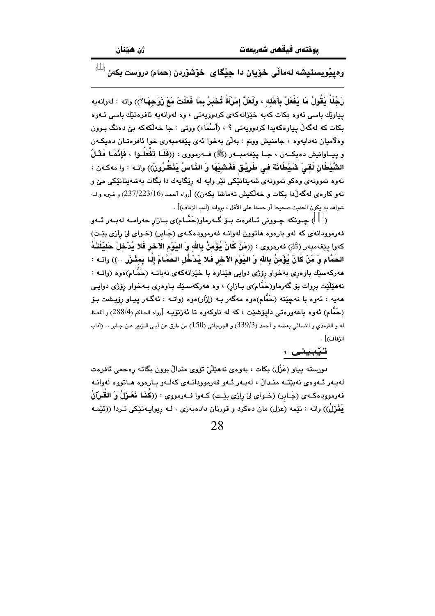$\overrightarrow{\phantom{a}}^\circ$ وەپێویستیشه لەماڵی خۆیان دا جێگای خۆشۆردن (حمام) دروست بکەن

رَجُلَاً يَقُولُ مَا يَفْعَلُ بِأَهْلِه ، وَلَعَلَّ إِمْرَأَةً تُخْبِرُ بِمَا فَعَلَتْ مَعَ زَوْجِهَا؟)) واته : لهوانهيه پیاوێك باسی ئەوە بكات كەبە خێزانەكەي كردوويەتى ، وە لەوانەيە ئافرەتێك باسى ئـەوە بکات که لهگەلْ پياوەکەيدا کردوويەتى ؟ ، (أَسْمَاء) ووتى : جا خەلّكەکە بىِّ دەنگ بـوون وهلاميان نهدايهوه ، جامنيش ووتم : بهلَّيْ بهخوا ئهي يَيْغهمبهري خوا ئافرەتـان دەپكـهن و پيــاوانيش دهيكــهن ، جــا پێغهمبــهر (ﷺ) فــهرمووى : ((فَلَـا تَفْعَلُـوا ، فَإِنَّمَـا مَثْـلُ الشَّيْطَانِ لَقـِيَ شَيْطَانَة فـى طَرِيْـق فَغَشَيَهَا وَ النَّاسُ يَنْظُرُونَ)) واتـه : وا مەكـەن ، ئەوە نموونەي وەكو نموونەي شەپتانێكى نێر واپە لە رێگاپەك دا بگات بەشەپتانێكى مێ و ئەو كارەي لەگەلْدا بكات و خەلكيش تەماشا بكەن)) [رواه أحمد (23/223/16) وغيره و لـه شواهد به يكون الحديث صحيحا أو حسنا على الأقل ، بروانه (آدب الزفاف)] .

( ) جـونکه جـوونی ئــافرەت بــۆ گــەرماو(حَمَّــام)ى بــازار حەرامــە لەبــەر ئــەو فه رموودانه ی که لهو بارهوه هاتوون لهوانـه فه رموودهکهی (جَـابر) (خـوای لیٌ رازی بیّـت) كەوا يێغەمبەر (ﷺ) فەرمووى : ((مَنْ كَانَ يُؤْمِنُ بِالله وَ اليَوْمِ الآخر فَلا يُدْخلْ حَليْلَتَـهُ الحَمَّام وَ مَنْ كَانَ يُؤْمِنُ بِالله وَ اليَوْمِ الآخرِ فَلا يَدْخُلِ الحَمَّامَ إِلَـا بِمثْـزَر ..)) واتـه : مەركەسێك باوەرى بەخواو رۆژى دوايى مێناوە با خێزانەكەي نەباتـە (حَمَّـام)ەوە (واتــە : نههێڵێت بروات بۆ گەرماو(حَمَّام)ی بـازار) ، وه هەرکەسـێك بـاوەری بـەخواو رۆژی دوايـی ههیه ، ئەوە با نەچێتە (حَمَّام)ەوە مەگەر بـه (إزَار)ەوە (واتــه : ئەگــەر يـيـاو رۆيـشت بـۆ (حَمَّام) ئەوە باعەورەتى دايۆشێت ، كە لە ناوكەوە تا ئەژنۆپـە [رواء الحاكم (288/4) و اللفـظ له و الترمذي و النسائي بعضه و أحمد (339/3) و الجرجاني (150) من طرق عن أبـي الـزيـر عـن جـابر ٠٠ (اَداب الزفاف)] .

#### تێبینی :

دورسته پياو (عَزْل) بکات ، بەوەي نەھێڵێ تۆوي مندالْ بوون بگاتە رەحمى ئافرەت لەبـەر ئـەوەى نەبێتـە منـدالْ ، لەبـەر ئـەو فەرموودانـەى كەلـەو بـارەوە ھـاتووە لەوانـە فهرموودهكـهي (جَـابر) (خـواي ليِّ رازي بيِّـت) كـهوا فــهرمووي : ((كِذَـا نَعْـزلُ وَ القَـرِآنُ أَ يَفْرْلُ)) واته : ئێمه (عزل) مان دەكرد و قورئان دادەبەزى . لـه ريوايـەتێكى تـردا ((ئێمـه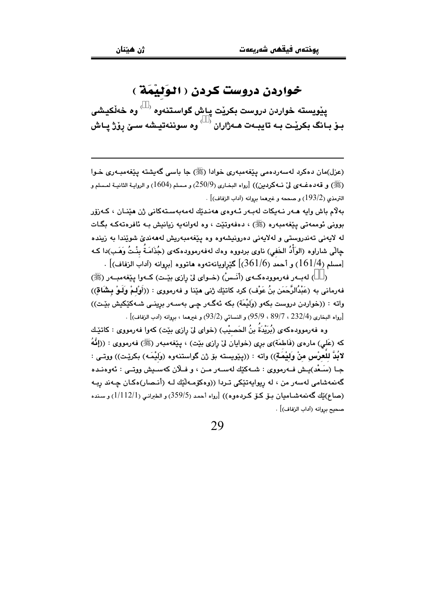### خواردن دروست كردن ( الوَليْمَةُ )

يٽويسته خواردن دروست بکريٽ ياش گواستنهوه <sup>( )</sup> وه خهلکيشي بـوْ بـانگ بكريْـت بـه تايبـهت هـهژاران  $\sim$ وه سوننهتيـشه سـيْ روْژ يـاش

(عزل)مان دهکرد لهسهردهمي پٽغهمبهري خوادا (ﷺ) جا باسي گهيشته پٽغهمبـهري خـوا (ﷺ) و قەدەغـەي لىْ نـەكردىن)) [رواه البخـارى (250/9) و مـسلم (1604) و الروايـة الثانيـة لمـسلم و الترمذي (193/2) و صححه و غيرهما بروانه (آداب الزفاف)] .

بەلام باش وايە ھـەر نـەيكات لـەبـەر ئـەوەي ھەنـدێك لـەمەبەسـتەكانى ژن ھێنـان ، كـەزۆر بووني ئوممەتى يێغەمبەرە (ﷺ) ، دەڧەوتێت ، وە لەوانەبە زيانيش بـە ئاڧرەتەكـە بگـات له لايەنى تەندروستى و لەلايەنى دەرونيشەوە وە يێغەمبەريش لەھەندىّ شوێندا بە زيندە ڃالّي شاراوه (الوَأْدُ الخَفى) ناوى بردووه وهك لهفهرموودهكهى (جُذَامَـةُ بِنْـتُ وَهَـب)دا كـه .<br>[مسلم (161/4) و أحمد (361/6)] گێراويانهتهوه هاتووه [بروانه (آداب الزفاف)] .

( ) لەيبەر فەرموودەكبەي (أنّس) (خىواي ليّ رازى بِيّت) كىەوا بِيّغەمبىەر (ﷺ) فهرماني به (عَبْدُالرَّحَمَن بنُ عَوْف) كرد كاتنِك ژني هێنا و فهرمووي : ((أَوْلِمْ وَلَـوْ بِشَاقِ)) واته : ((خواردن دروست بِكهو (وَلَيْمَة) بِكه ئهگـهر چـی بهسـهر برینـی شـهکێکیش بێـت)) .<br>[رواه البخاري (232/4 ، 89/7 ، 95/9) و النسائي (93/2) و غيرهما ، بروانه (آدب الزفاف)] .

وه فەرموودەكەي (بُرَيْدَةُ بنُ الحَصيْبِ) (خواي لِيْ رازي بِيْتِ) كەوا فەرمووى : كاتێِك كه (عَلی) مارهي (فَاطمَة)ي بري (خوابان ليّ رازي بيّت) ، بيّغهمبهر (ﷺ) فهرمووي : ((إِنَّهُ لانُدُّ لِلْعِرْسِ مِنْ وَلِيْمَةٍ)) وإنه : ((بِيُويسته بِوْ رْنِ گواستنەوه (وَلِيْمَهِ) بِكِرِيْتٍ)) ووتى : جـا (سَـعْد)يـش فـهرمووى : شـهكێك لهسـهر مـن ، و فــلان كهسـيش ووتــى : ئـهوهنـده گەنمەشامى لەسەر من ، لە ريوابەتێكى تـردا ((وەكۆمـەڵێك لـە (أنـصار)ەكـان جـەند ريـە (صاع)بْك گەنمەشـامبان بـۆ كـۆ كـردەوە)) [رواه أحمد (359/5) و الطبرانبي (1/112/1) و سـندە صحبح بروانه (آداب الزفاف)] .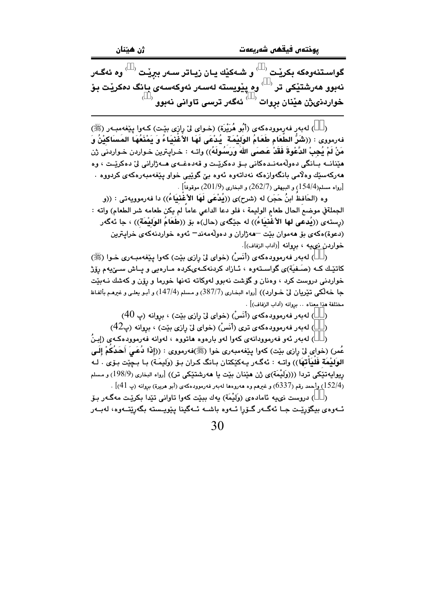گواسـتنهوهکه بکریْـت <sup>( \_ )</sup> و شـهکیّك یـان زیـاتر سـهر ببریْـت <sup>( \_ )</sup> وه ئهگـهر نەبوو ھەرشتێكى تر $\rightarrow$ وە پێويستە لەسەر ئەوكەسەى بانگ دەكرێت بۆ  $^{(-)}$ خواردنىژن هێنان بړوات  $^{(-)}$  ئەگەر ترسى تاوانى نەبوو

( ) لەبەر فەرموودەكەي (أَبُو هُرَيْرَة) (خـواي ليْ رازي بيْـت) كـەوا ييْغەمبـەر (ﷺ) فهرمووى : ((شُرُّ الطَّعَام طَعَامُ الوَلَيْمَة ۖ يُدْعَى لَهَا الأُغْنِيَاءُ وَ يَمْنَعُهَا المَسَاكيْنُ وَ مَنْ لَمْ يُجِبْ الدَّعْوةَ فَقَدْ عَصنَى اللهَ وَرَسُمُولَهُ)) واتـه : خـراپـترين خـواردن خـواردنى ژن مێنانــه بــانگي دەوڵەمەنــدەكانى بــۆ دەكرێــت و قەدەغــەي ھــەژارانى لىٚ دەكرێــت ، وە مەركەسێك وەلاّمى بانگەوازەكە نەداتەوە ئەوە بىّ گوێيى خواو يێغەمبەرەكەي كردووە ٠  $[.262/7, 201/9)$ رواه مسلم(154/4) و البيهقى (262/7) و البخارى (2 $\,$ 201) موقوفاً  $[.262/7, 100]$ 

وه (الحَافظُ ابنُ حَجَر) له (شرح)ى ((يُدْعَى لَهَا الأغَنيَاءُ)) دا فهرموويهتي : ((و الجملةفي موضع الحال طعام الوليمة ، فلو دعا الداعي عاما لم يكن طعامه شر الطعام) واته : (رستهي ((يُدعى لها الأغنيَاءُ)) له جيِّگهي (حال)ه بِق ((طُعَامُ الوَلَيْمَة)) ، جا ئهگهر (دعوة)هکهي بۆ هەموان بێت –هەژاران و دەولەمەند– ئەوە خواردنەکەي خرايترين خواردن نىيه ، بروانه [(آداب الزفاف)].

( ) لەبەر فەرموودەكەي (أَنَسْ) (خواي ليْ رازى بيْت) كەوا يـيْغەمبـەرى خـوا (ﷺ) کاتیّـك كـه (صَـفيّة)ى گواسـتهوه ، ئـازاد كردنهكـهىكرده مـارهيى و پـاش سـێيهم رِۆِژ خواردنی دروست کرد ، وهنان و گۆشت نهبوو لهوکاته تهنها خورما و رۆن و کهشك نــهبێت جا خەلكى تېريان لىٌ خـوارد)) [رواه البخـاري (387/7) و مـسلم (147/4) و أبـو بعلـى و غىرمـم بألفـاظ مختلفة هذا معناه .. بروانه (آداب الزفاف)] .

بروانه (پ $(40\,$ بهر فه $\,$ رموودهکهی (أَنَسْ) (خوای لی رازی بێت) ، بروانه (پ

) له به ر فه رموود هکه ی تری (أَنَسْ) (خوای لیٌ رازی بیّت) ، بروانه (پ $(42$ )  $\lambda$ 

) لەبەر ئەو فەرموودانەي كەوا لەو بارەوە ھاتووە ، لەوانە فەرموودەكـەي (إِبنُ  $\mathcal{E}$ عُمر) (خواي ليٌ رازي بيّت) كهوا ينفهمبهري خوا (ﷺ)فهرمووي : ((إِذَا دُعَـيَ أَحَدُكمْ إِلَـي الوِلَيْمَة فَليَأتهَا)) واتــه : ئـه گــه ر يــه كَيْكتان بــانگ كـران بـوّ (وَليمَـة) بـا بـحِيّت بـوّي . لـه ريوايەتێِكى تردا (((وَلَيْمَة)ى ژن هێنان بێت يا هەرشتێِكى تر)) [رواه البخارى (198/9) و مسلم ر 152/4) وأحمد رقم (6337) و غيرهم وه هەروەها لەبەر فەرموودەكەي (أبو هريرة) بروانه (پ $[41]$  .

( ) دروست نىيه ئامادەي (وَلَيْمَة) يەك بېيّت كەوا تاوانى تێدا بكرێت مەگـەر بـۆ ئــهوهي بيگۆرێـت جــا ئەگــەر گــۆرا ئــهوه باشــه ئــهگينا يـێويــسته بگەرێتــهوه، لەبــهر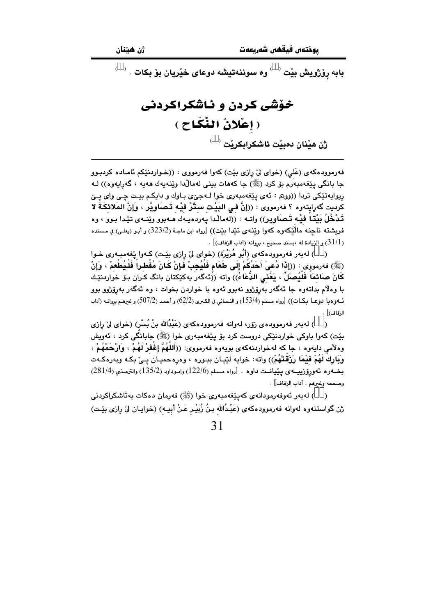$\overrightarrow{\phantom{a}}$ بابه پۆژویش بێت $\overrightarrow{\phantom{a}}$ وه سوننهتیشه دوعای خێریان بۆ بکات

## خۆشی کردن و ئاشکراکردنی (إعْلانُ النِّكَاحِ )  $\overline{\mathfrak{c}}$ ژن مێنان دەبێت ئاشكرابكرێت

فهرموودهکهی (عَلی) (خوای ليٌ رازي بيّت) کهوا فهرمووي : ((خـواردنيکم ئامـاده کردبـوو جا بانگي پێغەمبەرم بۆ كرد (ﷺ) جا كەھات بينى لەماڵدا وێنەپەك ھەپە ، گەراپەوە)) ك ريوايەتێكى تردا ((ووتم : ئەي پێغەمبەرى خوا لـﻪجێى بـاوك و دايكـم بيـت چـى واي يـێ كرديت گەراپتەوە ؟ فەرمووى : ((إنَّ فـى البَيْت سـتْرٌ فيْـه تَـصَاوِيْر ، وَإنَّ المَلائكَـةَ لا تَدْخُلُ بَيْتا فَيْه تَـصَاوِير)) واتـه : ((لهمالْدا يـهردهيـهك هــهبوو ويُنــهى تێدا بـوو ، وه فريشته ناچنه مالْٽِكەوه كەوا وێِنەي تێدا بێت)) [رواه ابن ماجـة (323/2) و أبـو (يعلـي) في مـسنده .  $[$  (31/1) و الزيادة له ،بسند صحيح ، بروانه (آداب الزفاف)  $\,$  .

( ) لەبەر فەرموودەكەي (أَبُو هُرَيْرَة) (خواي لِيْ رازي بِيْت) كـەوا يْغەمبـەرى خـوا (ﷺ) فەرمورى : ((إِذَا دُعىَ أَحَدُكُمْ إِلَى طَعَام فَلَيُجِبْ فَإِنْ كَانَ مُفْطراً فَلَيُطْعِمْ ، وَإِنْ كَانَ صَائمَاً فَلَيُصلِّ ، يَعْنى الدُّعَاءُ)) واته ((ئهگەر بِهكێكتان بانگ كـران بـوّ خواردنێـك با وهلام بداتـهوه جا ئـهگـهر بـهږۆژوو نـهبوو ئـهوه با خواردن بـخوات ، وه ئـهگـهر بـهږۆژوو بوو ئــهوومبا دوعــا بـكــات)) [رواه مـسلم (153/4) و النـسائي في الكـبرى (62/2) و أحمـد (507/2) و غيرهـم بروانــه (آداب الزفاف)] .

) لەبەر فەرموودەي زۆر، لەوانە فەرموودەكەي (عَبْدُالله بنُ بُسْرٍ) (خواي ليٌ رازى  $\lambda$ بێت) کەوا باوکى خواردنێکى دروست کرد بۆ پێغەمبەرى خوا (ﷺ) جابانگى کرد ، ئەويش وهلأمي دايهوه ، جا كه لهخواردنهكهي بويهوه فهرمووي: ((أَللهُمَّ إِعْفَرْ لَهُمْ ، وَارْحَمْهُمْ ، وَبَارِكَ لَهُمْ فَيْمًا رَزَقْتَهُمْ)) واته: خوايه لَيْيان ببـوره ، وهرهحميـان پـيّ بكـه وبهرهكـهت بخــەرە ئەورۆزييــەي يێيانــت داوە . [رواه مـسلم (122/6) وابـوداود (135/2) والترمـذي (281/4) وصححه وغيرهم . آداب الزفاف] .

( ) لەبەر ئەوفەرمودانەي كەيێغەمبەرى خوا (ﷺ) فەرمان دەكات بەئاشكراكردنى ژن گواستنەوه لەوانە فەرموودەكەى (عَبْدُالله بـنُ زُبَيْـر عَـنْ أَبيــه) (خوايـان لىٰ رِازى بێـت)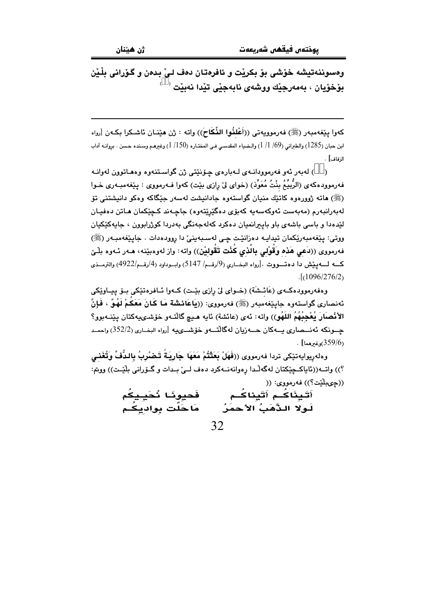وهسوننهتيشه خوشي بوّ بكريْت و ئافرەتان دەف لـيْ بدەن و گـوّرانى بِلْـيْن  $^{\circ}$  بۆخۆيان ، بەمەرجێك ووشەي نابەجێى تێدا نەبێت

كەوا يێغەمبەر (ﷺ) فەرموويەتى ((أَعْلَنُوا النِّكَاحَ)) واتە : ژن مێنـان ئاشـكرا بكـەن [رواه ابن حبان (1285) والطبراني (69/ 1/ 1) والـضياء المقدسـي فـي المختـاره (1/150) وغيرهـم وسـنده حـسن . بروانـه آداب الزفاف] .

) لەبەر ئەو فەرموودانــەي لــەبارەي چۆنێتى ژن گواسـتنەوە وەھـاتوون لەوانــە فهرموودهكهي (الرَّبِيُّمُ بِنْتُ مُعَوِّذٍ) (خواي ليِّ رازي بيّت) كهوا فـهرمووي : يـيْغهمبـهري خـوا (ﷺ) هاته ژوورەوە كاتێك منيان گواستەوە جادانيشت لەسەر جێگاكە وەكو دانيشتنى تۆ لەبەرانبەرم (مەبەست ئەوكەسەيە كەبۆى دەگێرێتەوە) جاچـەند كـچێكمان ھـاتن دەڧيـان لێدهدا و باسی باشهی باو باپیرانمیان دهکرد کهلهجهنگی بهدردا کوژرابوون ، جایهکێکیان ووتي: پێغەمبەرێِکمان تيدايـه دەزانێت چي لەسـبەينيٚ دا روودەدات . جايێغەمبـەر (ﷺ) فەرمووى ((دَعى هَذه وَقُوْلى بِالَّذى كُنْت تَقُوليْنِ)) واتە: واز لەوەبێنە، ھـەر ئـەوە بلّـێ كــه لـــهييش دا دهتـــووت .[رواه البخــاري (9/رقــم/ 5147) وابــوداود (4/رقــم/4922) والترمــذي  $.1096/276/2$ 

وهفەرموودەكــەي (عَائـشَة) (خــواي ليْ رازي بێـت) كــەوا ئــافرەتێكى بــۆ پـيــاوێكى ئەنصارى گواستەوە جايێغەمبەر (ﷺ) فەرمووى: ((يَاعَائشة مَا كَانَ مَعَكُمْ لَهُوٌ ، فَإِنَّ الأنْصِارَ يُعْجِبُهُمُ اللَّهُو)) واته: ئەي (عائشة) ئايە ھـيچ گالتـەو خۆشـىيەكتان يێنـەبوو؟ چــونكه ئەنـــصارى بــــەكان حــــەزيان لەگالتــــەو خۆشـــىيە [رواه البخــارى (352/2) واحمــد  $\frac{1}{2}$ (359/6)

وهلەريوايەتێكى تردا فەرمووى ((فَهَلْ بَعَثْتُمْ مَعَهَا جَارِيَةً تَـضْرِبُ بِالدُّفِّ وَتُغَنـى ؟)) واتــه((ئاياكــڃێكتان لهگهلّـدا رهوانهنــهكرد دهف لــئ بـدات و گــۆرانى بِلَيّـت)) ووتم: ((چىبلَيْت؟)) فەرمووى: ((

أَتَينَاكُم أَتَيناكُم فَحيونًا نُحَيِـيكُم لَـولاً الـذَّهَبُ الأحمَرُ مَاحَلَّت بواديكُم 32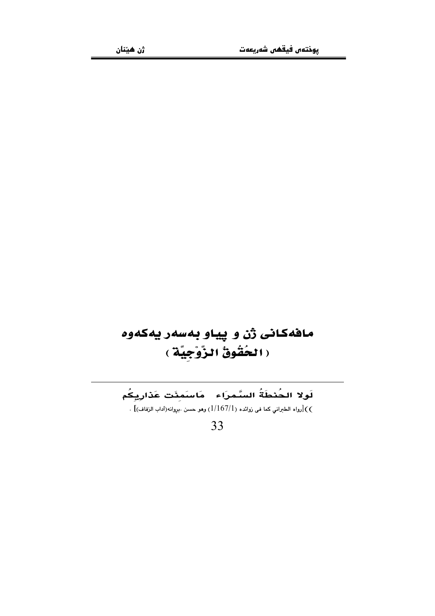## مافهكانى ژن و پياو بهسهر يهكهوه ( الحُقُوقُ الزَّوْجِيَّةِ )

لَولا الحُنطَةُ السَّمرَاء - مَاسَمِنَت عَذَارِيِكُم رواه الطبراني كما في زوائده (1/167/1) وهو حسن .بروانه(آداب الزفاف)] .  $\zeta($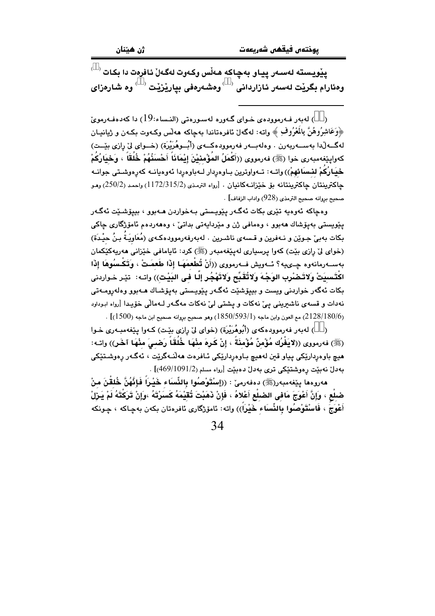$^{(+)}$ پێویسته لەسەر پیاو بەچاكە ھەڵس وكەوت لەگەلْ ئافرەت دا بكات وهئارام بگريْت لەسەر ئازاردانى <sup>‹ ›</sup>وەشەرەفى بياريْزيْت <sup>‹ ›</sup>وە شارەزاى

(ãã) لەبەر فەرموودەي خواي گەورە لەسورەتى (النساء:19) دا كەدەفەرمويّ ﴿وَعَاشِرُوهُنَّ بِالْمَعْرُوفِ ﴾ واته: لهگەلٌ ئافرەتاندا بەچاكە ھەلّس وكـەوت بكـەن و ژيانىيـان لهگــه لّـدا بهســهربهرن . وهلهبــهر فهرموودهكــهى (أَبُــوهُرَيْرَة) (خــواى ليّ رازى بيّــت) كەواپێغەمبەرى خوا (ﷺ) فەرمووى ((أَكْمَلُ المُؤْمِنيْنَ إِيْمَانَاً أَحْسَنُهُمْ خُلُقَاً ، وَخِيَارُكُمْ **خْيَارُكُمْ لنسَانَهُمْ**)) واتــه: تــهواوترين بــاوهږدار لــهباوهږدا ئـهوهيانــه كهڕهوشــتى جوانــه جاكترينتان جاكترينتانه بق خيزانــهكانيان . [رواه الترمذي (1172/315/2) واحمد (250/2) وهـو صحيح بروانه صحيح الترمذي (928) واداب الزفاف] .

وەچاكە ئەوەپە تێرى بكات ئەگـەر پێويـستى بـەخواردن ھـەبوو ، بييۆشـێت ئەگـەر پێويستي بەيۆشاك ھەبوو ، وەمافىي ژن و مێردايەتى بداتىٰ ، وەھەردەم ئامۆژگارى چاكى بِكات بِهِبِيِّ جِـوِيْنِ و نـهفرين و قـسهى ناشـرين . لهبهرفهرموودهكـهي (مُعَاوِيَـةٌ بـنُ حيْـدَة) (خواي ليْ رازي بيّت) كەوا پرسپارى لەيێغەمبەر (ﷺ) كرد: ئايامافى خێزانى ھەرپەكێكمان بەســەرمانەوە جــىيە؟ ئــەويش فــەرمووى ((أَنْ تُطْعِمَهَـا إِذَا طَعِمَـتْ ، وَتَكْـسُوهَا إِذَا اكْتَسِيَتْ وِلاتَـضْرِبِ الوَجْـهَ وَلاتُقَبِّح وَلاتَهْجُرِ إِلَّـا في البَيْتِ)) وإتـه: ۖ تيْـر خـواردني بکات ئەگەر خواردنى ويست و بېيۆشێت ئەگـەر يێويـستى بەيۆشـاك ھـەبوو وەلەرومـەتى نهدات و قسهي ناشيريني ييّ نهكات و يشتي ليّ نهكات مهگـهر لـهمالّي خۆيـدا [رواه ابـوداود . (2128/180/6) مع العون وابن ماجه (1850/593/1) وهو صحيح بروانه صحيح ابن ماجه (1500)] .

(Ãã) لەبەر فەرموودەكەي (أُبُوهُرَيْرة) (خواي لِيْ رازي بِيْت) كـەوا يـێغەمبـەرى خـوا (ﷺ) فەرمورى ((لايَفْرُك مُؤْمِنٌ مُؤْمِنَةً ، إنْ كَرِهَ مِنْهَا خُلُقَاً رَضـيَ مِنْهَا آخَر)) واتـه: هيچ باوهرداريکي ڀياو قبن لههيچ بـاوهرداريکي ئـافرهت ههاٽـهگريٽت ، ئهگـهر رهوشـتێکي بەدل نەبنت رەوشتىكى ترى بەدل دەبنت [رواء مسلم (469/1091/2)] .

مەروەما يێغەمبەر(ﷺ) دەفەرمى٘ : ((إسْتَوْصُلُوا بِالنِّسَاء خَيْراً فَإِنَّهُنَّ خُلقْنَ منْ ضلِعْ ، وَإِنَّ أَعْوَجَ مَافِى الضبلْع أَعْلاهُ ، فَإِنْ ذَهَبْتَ تُقَيْمَهُ كَسَرْتَهُ ،وَإِنْ تَرَكْتَهُ لَمْ يَـزَلْ أَعْوَجُ ، فَاسْتَوْصُوا بِالنِّسَاء خَيْراً)) واته: ئامۆرْگارى ئافرەتان بكەن بەچاكە ، چـونكە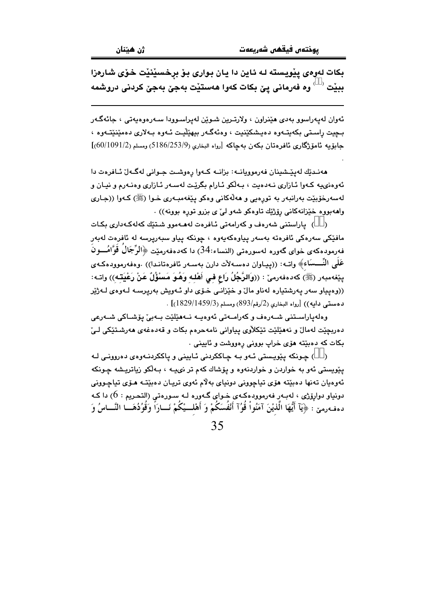بکات لهوهي پيويسته لـه ئـاين دا يـان بـواري بـوّ برخسيّنيّت خـوّي شـارهزا ببِيْت  $^\circ$  وه فەرمانى ييّ بكات كەوا ھەستيْت بەجىّ بەجىّ كردنى دروشمە

ئەوان لەيەراسوو بەدى ھێنراون ، ولارتـرين شـوێن لەيراسـوودا سـەرەوەيەتى ، جائەگـەر بجيت راستي بکهيتـهوه دهيـشکێنيت ، وهئهگـهر بيهێڵيـت ئـهوه بـهلاري دهمێنێتـهوه ، جابوِّيه ئاموِّژگاري ئافرەتان بكەن بەچاكە [رواه البخاري (5186/253/9) ومسلم (60/1091/2)]

هەنىدێك لەيێىشينان فەرموويانىە: بزانىه كىەوا رەوشت جىوانى لەگىەل ئىافرەت دا ئەوەنىيە كـەوا ئـازارى نـەدەيت ، بـەلكو ئـارام بگريّت لەسـەر ئـازارى وەنـەرم و نيـان و لەسەرخۆيێت بەرانبەر بە تورەبى و ھەلّەكانى وەكو يێغەمبەرى خـوا (ﷺ) كـەوا ((جـارى وامەبووە خێزانەكانى رۆژێك تاوەكو شەو لىٌ ى بزرو تورە بوونە)) .

() ياراستنى شەرەف وكەرامەتى ئافرەت لەھـەموو شىتىك كەلەكـەدارى بكـات مافێکی سەرەکی ئافرەتە بەسەر يياوەکەيەوە ، چونکە يياو سبەريرسە لە ئافرەت لەبەر فهرمودهکهی خوای گهوره لهسورهتی (النساء:34) دا کهدهفهرمێت ﴿الرِّجَالَ قَوَّامُـــونَ عَلَى النِّـــسَاء﴾ واتــه: ((پيــاوان دهســهلأت دارن بهســهر ئافرهتانـدا)) .وهفهرموودهكـهي يێِغەمبەر (ﷺ) كەدەفەرمىٚ : ((وَالرَّجُلُ رَاع فى أَهْلـه وَهُوَ مَسْؤُلٌ عَنْ رَعْيَتـْه)) واتـه: ((وهيپاو سهر پهرشتياره لهناو مالٌ و خێزانـی خـوّی داو ئـهويش بهريرسـه لـهوهی لـهژێر  $\left[ (1829/1459/3) \right]$ . دهستی دابه)) [رواه البخاری (2/رقم/893)]

وەلەپاراسىتنى شيەرەف و كەراميەتى ئەوەبيە نيەھێلێت بيەپێ پۆشياكى شيەرعى دەربچێت لەمالٌ و نەھێلێت تێکلاّوي پياواني نامەحرەم بكات و قەدەغەي ھەرشىتێكى لـئ بکات که دهبێته هۆی خراب بوونی رهووشت و ئايينی .

( ) جونکه پٽويسٽي ئوو په جاککردني ئابيني و پاککردنوووي دهرووني له يێويستي ئەو بە خواردن و خواردنەوه و يۆشاك كەم تر نىيــە ، بـەلكو زياتريـشە چـونكە ئەوەيان تەنھا دەبێتە ھۆي تياچوونى دونياي بەلاّم ئەوي تريـان دەبێتـﻪ ھـۆي تياچـوونى دونياو دوارۆژى ، لەبـەر فەرموودەكـەي خـواي گـەورە لـە سـورەتى (التحـريم : 6) دا كـە دهفهرمني ۚ: ﴿يَآ أَيُّهَا الَّذيْنَ آمَنُواْ قُوُآ أَنْفُسَكُمْ وَ أَهْلِــيْكُمْ نَـــارَاً وَقُوُدُهَـــا النَّـــاسُ وَ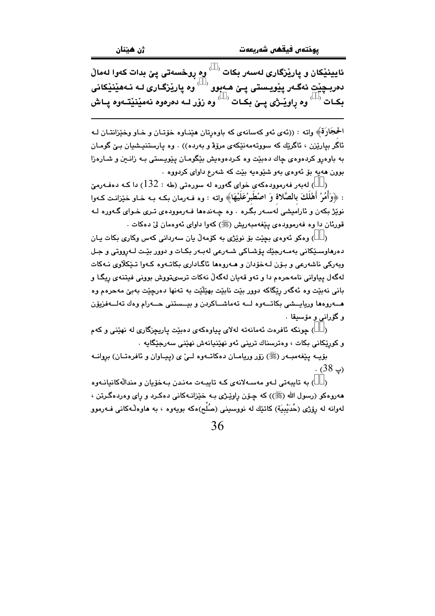ئايينێِکان و يارێِزگار*ی ل*ەسەر بکات <sup>( ،</sup> وه ړوخسەتى پِێ بدات کەوا لەماڵ دمربـڃێت ئەگـەر يێويـستى يـێ ھـەبوو $\overset{\longleftrightarrow}{\phantom{}^{\omega}}$ وه يارێزگـارى لـە نـەھێنێكانى بِكِيات ` ` وه راويْــِژي پِــِيْ بِكِيات ` ` وه زوْر لــه دمرموه نهمێنێتـهوه پياش

الحُجَارَةَ﴾ واته : ((ئەي ئەو كەسانەي كە باوەرتان ھێنـاوە خۆتـان و خـاو وخێزانتـان لـە ئاگر سارێزن ، ئاگرێك كه سووتەمەنێكەي مرۆۋ و بەردە)) . وە پارستنپشيان بـێ گومـان به باوهرو کردهوهی چاك دهبێت وه کردهوهیش بێگومـان یێویـستی بـه زانـین و شـارهزا بوون ههيه بق ئهوهي بهو شَيْوهيه بيّت كه شهرع داواي كردووه .

ر ) لەبەر فەرموردەكەي خواي گەورە لە سورەتى (طە $2:132$ ) دا كـە دەفـەرمێ : ﴿وَأَمُرْ أَهْلَكَ بِالصَّلاةِ وَ اصْطُبِرْعَلَيْهَا﴾ واته : وه فـهرمان بكـه بـه خـاو خيّزانـت كـهوا نویْژْ بکهن و ئارامیشی لهسـهر بگـره . وه چـهندهها فـهرموودهی تـری خـوای گـهوره لـه قورئان دا وه فەرموودەي يێغەمبەريش (ﷺ) كەوا داواي ئەوەمان لىٰ دەكات .

( ) وهکو ئەوەي بچێت بۆ نوێژى بە کۆمەلْ يان سەردانى کەس وکارى بکات يان دەرھاوسىێكانى بەمـەرجێك پۆشـاكى شـەرعى لەبـەر بكـات و دوور بێـت لـەرووتى و جـل ويەركى ناشەرعى و بىۆن لـەخۆدان و ھـەروەھا ئاگـادارى بكاتـەوە كـەوا تـێكلاوى نـەكات لهگهل پياواني نامهجرهم دا و تهو قهبان لهگهڵ نهکات ترسهتووش پووني فيتنهي ريگـا و باني نهبێت وه ئهگەر رێگاکه دوور بێت نابێت بهێڵێت به تەنها دەرچێت بەبێ مەحرەم وه مــــەروەما وريايـــشى بكاتــــەوە لـــــه تەماشــــاكردن و بيـــستنى حــــەرام وەك تەلــــەفزيۆن و گۆرانى و مۆسىقا .

( ) چونکه ئافرهت ئەمانەتە لەلاي پياوەکەي دەبيّت ياريچزگارى لە نهيّنى و کەم و کورٽکاني بکات ، وهترسناك تريني ئەو نهێنيانەش نهێني سەرجێگابە ٠

بۆيــه يـێغهمبــهر (ﷺ) زۆر وريامــان دەكاتــهوه لــێ ی (ييــاوان و ئافرەتــان) بروانــه  $. (38)$ 

() به تايبەتى لـهو مەسـەلانەي كـه تايبـهت مەنىدن بـهخۆيان و مندالْهكانيانـهوه مه روه کو (رسول الله (ﷺ)) که چـۆن راوێـژی بـه خێزانـهکانی دهکـرد و رای وه<code>ردهگرتن</code> ، لەوانە لە رۆژى (حُدَيْبِيَة) كاتێك لە نووسینى (صُلْح)ەكە بويەوە ، بە ھاوەڵەكانى فـﻪرموو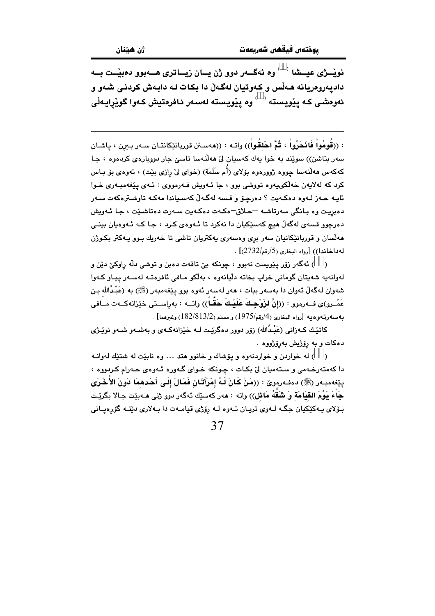نويْــژى عيـــشا ` ` وه ئەگـــەر دوو ژن يـــان زيـــاترى هـــەبوو دەبيْــت بـــە دادیهروهریانه هـهڵس و کـهوتیان لهگـهڵ دا بکـات لـه دابـهش کردنـی شـهو و ئەوەشى كە يێويستە ` ` وە يێويستە لەسەر ئافرەتيش كەوا گوێرايـەڵى

: ((قُومُواْ فَانْحَرُواْ ، ثُمَّ احْلَقُواْ)) واتـه : ((هەسـتن قوريانێِکانتـان سـەر بـبرن ، پاشـان سەر بتاشن)) سويند بە خوا يەك كەسپان لىْ ھەللەسا تاسىٰ جار دوويارەي كردەوە ، جا كەكەس ھەلىدەسا چورە روورەرە بۆلاي (أَم سَلَمَة) (خواي لِيّ رازى بيّت) ، ئەرەي بۆ بـاس کرد که لهلایهن خهالکیپهوه تووشی بوو ، جا ئـهویش فـهرمووی : ئـهی یێغهمبـهری خـوا ئايـه حـەز لـەوە دەكـەيت ؟ دەرجـۆ و قـسە لەگـەلّ كەسـياندا مەكـە تاوشـترەكەت سـەر دەبريت وە بانگى سەرتاشە –حلاق–ەكەت دەكەبت سەرت دەتاشىيت ، جا ئەويش دهرچوو قسهي لهگهڵ هيچ کهسٽِکيان دا نهکرد تا ئـهوهي کـرد ، جـا کـه ئـهوهيان بينـي هه لسان و قوربانێکانیان سهر بری وهسهری یهکتریان تاشی تا خهریك بـوو یـهکتر بكـوژن له داخاندا)) [رواه البخاري (5/رقم/2732)] .

( ) ئەگەر زۆر يێويست نەبوو ، چونكە يێ تاقەت دەبن و توشى دڵە راوكێ دێن و لەوانەبە شەبتان گومانى خراپ بخاتە دلّيانەوە ، بەلكو مافى ئافرەتـە لەسـەر بيـاو كـەوا شەوان لەگەلْ ئەوان دا بەسەر ببات ، ھەر لەسەر ئەوە بوو يێغەمبەر (ﷺ) بە (عَبْدُالله بن عَمْــرو)ي فــهرموو : ((إنَّ لزَوْجِـكَ عَلَيْـكَ حَقَّـاً)) واتــه : بهراســتي خيْزانهكــهت مــافي بهسهورتهو هبه [رواه البخاري (4/رقم/1975) و مسلم (182/813/2) وغيرهما] .

کاتێك كـهزاني (عَبْدُالله) زۆر دووړ دهگريّـت لـه خێزانهكـهى و پهشـهو شـهو نويّـژي دهکات و به رۆژيش بەرۆژووه .

( ) له خواردن و خواردنهوه و يؤشاك و خانوو هند ... وه ناييّت له شتيّك لهوانـه دا کهمتهرخهمی و ستهمیان لیّ بکات ، چونکه خوای گهوره ئهوهی حهرام کردووه ، يێِغەمبەر (ﷺ) دەفەرموێ : ((مَنْ كَانَ لَهُ إِمْرَأَتَـانِ فَمَالَ إِلَـى أَحَدهمَا دَونَ الأَخْرَى جَاءَ يَوُمَ القِيَامَة وَ شَقَّهُ مَائِل)) واته : مەر كەسێك ئەگەر دوو ژنى مـەبێت جـالا بـگرێـت بـۆلای پـهکێکيان جگـه لـهوی تريـان ئـهوه لـه رۆژی قيامـهت دا بـهلاری دێتـه گۆرەپـانی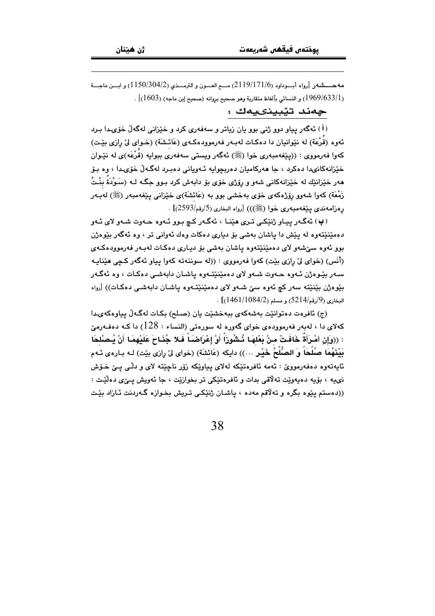مه حسسشه ر[رواه أبسوداود (2119/171/6) مسع العسون و الترمسذي (1150/304/2) و ابسن ماجسة ر [1969/633/1) و النسائي بألفاظ متقارية وهو صحيح بروانه (صحيح إبن ماجه) (1603)] .

جەند تێبينىيەك :

(اً) ئەگەر بياو دوو ژنى يوو بان زياتر و سەفەرى كرد و خێزانى لەگەلّ خۆي دا بىرد ئهوه (قُرْعَة) له نێوانیان دا دهکات لهبهر فهرموودهکهی (عَائشَة) (خـوای لیٌ رِازی بێت) کهوا فهرمووي : ((پێغهمبهري خوا (ﷺ) ئهگهر ويستي سهفهري ببوايه (قَرْعَه)ي له نێـوان خێزانهکانىدا دەکرد ، جا ھەرکاميان دەريجوايە ئـەويانى دەبىرد لەگـەلّ خۆى1، وە بـۆ ههر خٽزانٽك له خٽزانهكاني شهو و رۆژي خۆي بۆ دايهش كرد پيوو چگيه ليه (سَيوْدَةُ بِنْتُ زَمْعَة) کەو! شەوو رۆژەکەي خۆی پەخشى بوو پە (عَائشَة)ى خێزانى پێغەمبەر (ﷺ) لەپبەر رەزامەندى يێغەمبەرى خوا (ﷺ))) [رواه البخارى (5/رقم/2593)] .

(پ) ئەگەر يېباو ژنٽکي تېرې ھٽنا ، ئەگەر کېچ يېوو ئووه جەوت شەورلاي ئەو دهمێنێتهوه له پێش دا پاشان بهشی بۆ دیاری دهکات وهك ئهوانی تر ، وه ئهگهر بێوهژن بوو ئەوە سۆشەو لاي دەمێنێتەوە ياشان بەشى بۆ ديـارى دەكـات لەبـەر فەرموودەكـەي (أَنَس) (خواي ليٌ رازي بيّت) کهوا فهرمووي : ((له سوننهته کهوا پياو ئهگهر کچي هێنايـه سـهر بێوهژن ئـهوه حـهوت شـهو لای دهمێنێتـهوه پاشـان دابهشـی دهکـات ، وه ئهگـهر بنوهژن بێنێته سهر کچ ئهوه سێ شـهو لای دهمێنێتـهوه پاشـان دابهشـی دهکـات)) [رواه  $(1461/1084/2)$ و (9/رقم/5214) ر مسلم (1461/1084).

(ج) ئافرەت دەتوانێت بەشەكەي ببەخشێت يان (صلح) بكات لەگەلْ يياوەكەيدا کهلای دا ، لهبهر فهرموودهی خوای گهوره له سورهتی (النساء : 128) دا کـه دهفـهرمێ : ((وَإِن امْـرَأَةٌ خَافَتْ منْ بَعْلهَـا ذُشُوزَاً أَوْ إِعْرَاضَـاً فَـلا جُذَاحَ عَلَيْهِمَـا أَنْ يُـصْلحَا بَيْنَهُمَا صُلْحَاً وَ الصُّلْحُ خَيْرٍ …)) دايكه (عَائشَة) (خواى ليّ رازى بيّت) لـه بـارهى ئـهم ئايەتەوە دەڧەرمووێ : ئەمە ئاڧرەتێكە لەلاي پياوێكە زۆر ناچێتە لاي و دلّـي يـێ خـۆش نىيە ، بۆيە دەيەوێت تەلاقى بدات و ئافرەتێكى تر بخوازێت ، جا ئەويش يــێى دەلێـت : ((دهستم یێوه بگره و تهلاقم مهده ، یاشـان ژنێکـی تـریش بخـوازه گـهردنت ئـازاد بێـت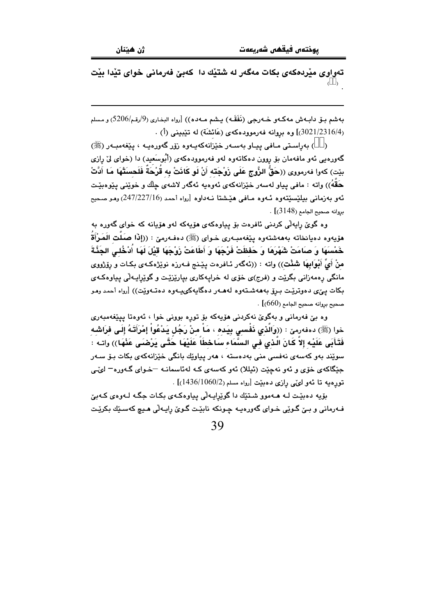تهواوی میْردهکهی بکات مهگهر له شتیْك دا کهبیّ فهرمانی خوای تیْدا بیْت  $( )$ 

بهشم بـــوّ دابــهش مهكــهو ـــــهورجي (نَفَقَــه) يــشم مــهده)) [رواه البخـاري (9/رقـم/5206) و مـسلم (3021/2316/4)] وه بروانه فهرموودهكهى (عَائشَة) له تَيْبِيني (أ) .

( ) بەراستى مـافى ييـاو بەسـەر خێزانەكەيـەوە زۆر گەورەيـە ، يێغەمبـەر (ﷺ) گەورەيى ئەو مافەمان بۆ روون دەكاتەوە لەو فەرموودەكەي (أَبُوسَعيد) دا (خواي لِيٌ رازى بيّت) كەرا فەرمورى ((حَقُّ الزُّوج عَلَى زَوْجَته أَنْ لَو كَانَتْ بِه قَرْحَةٌ فَلَحسَتْهَا مَا أَدَّتْ حَقَّهُ)) واته : مافي بياو لەسەر خێزانەكەي ئەوەبە ئەگەر لاشەي چلّك و خوێنى يێوەبێت ئەق بەزمانى بېلٽسٽتەۋە ئـەۋە مـافى ھێشتا نـەداۋە [رواە أحمد (247/227/16) ۋقىو مىجيى  $.$  [( $3148$ ) بروانه صحيح الجامع

وه گویٌ رایهڵی کردنی ئافرهت بۆ پیاوهکهی هۆپهکه لهو هۆپانه که خوای گهوره به هۆيەوه دەيانخاتە بەھەشتەوە يێغەمبەرى خـواي (ﷺ) دەڧـﻪرمێ : ((إِذَا صَلَت الَمَرْأَةُ خَمْسَهَا وَ صَامَتْ شَهْرَهَا وَ حَفظَتْ فَرْجَهَا وَ أَطَاعَتْ زَوْجَهَا قَيْلَ لَهَا أُدْخُلـى الجَذَّةَ منْ أَيِّ أَبْوابِهَا شَئْتٍ)) واته : ((ئەگەر ئـافرەت يێنج فـەرزە نوێژەكـەي بكـات و رۆژووي مانگی رهمهزانی بگریت و (فرج)ی خوّی له خرایهکاری بیاریزیّت و گویرایـهلّی پیاوهکـهی بکات يـێی دهوتريّـت بـرۆ بەھەشـتەوه لەھـەر دەگابەکىيـەوه دەتـەويّت)) [رواه أحمد ومو . [صحيح بروانه صحيح الجامع (660)]

وه بيّ فهرماني و بهگويّ نهكردني هۆيەكه بۆ توره بووني خوا ، ئەوەتا ييێغەمبەرى خوا (ﷺ) دەفەرمىٚ : ((وَالَّذى نَفْسى بِيَدە ، مَاْ منْ رَجُل يَدْعُواْ إِمْرَأَتَهُ إِلَى فَرَاشَه فَتَأْبَى عَلَيْه إلاَّ كَانَ الَّذى في السَّمَاء سَاحْطاً عَلَيْهَا حَتَّى يَرْصْنَى عَذْهَا)) واتـه : سوێند بەو كەسەي نەڧسى منى بەدەستە ، ھەر پياوێك بانگى خێزانەكەي بكات بـۆ سـەر حٽگاکهي خۆي و ئەو نەچێت (ئېللا) ئەو کەسەي کـه لەئاسمانـه –خـواي گـەورە– لوێي تورەپە تا ئەو لىي رازى دەبيت [رواه مسلم (1060/1436)] .

بۆيە دەبێت لـه ھـﻪموو شـتێك دا گوێراپـﻪڵی پياوەكـﻪي بكـات جگـﻪ لـﻪوەي كـﻪبێ فـهرماني و بـِيّ گـوێِي خـواي گهورهيـه چـونکه نابێـت گـويّ رايـهڵي هـيـچ کهسـێك بکرێـت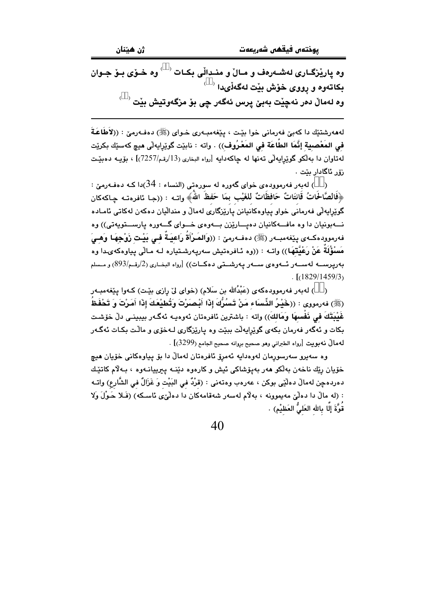وه پارێزگـاری لهشـهرهف و مـالٌ و منـداڵی بکـات <sup>( \_ )</sup> وه خـوٌی بـوٌ جـوان بکاتەوه و رووى خۆش بێت لەگەڵىدا<sup>( \_ )</sup> وه لهمالٌ دهر نهچێت بهبێ يرس ئهگەر <u>چ</u>ى بۆ مزگەوتيش بێت <sup>( \_ )</sup>

لهههرشتێك دا كهبيّ فهرماني خوا بێت ، بێغهمبـهري خـواي (ﷺ) دهفـهرميّ : ((لاَطَاعَـةَ في المَعْصبِية إِنَّمَا الطَّاعَة في المَعْرُوف)) . واته : نابيّت گويرايهلّي ميچ كهسيّك بكريّت لهتاوان دا بهالکو گوێرِايهالّی تهنها له چاکهدايه [رواه البخاری (13/رقم/7257)] ، بۆيــه دهبێـت رۆر ئاگادار بێت ٠

ز ) لەبەر فەرموودەي خواي گەورە لە سورەتى (النساء : 34)دا كـە دەفـەرمێ : ) ﴿فَالصَّالَحَاتُ قَانتَاتٌ حَافظَاتٌ لِلغَيْبِ بِمَا حَفظَ اللَّهُ﴾ واتبه : ((جـا ئافرەتــه چـاكـهكان گوێِرايەڵی فەرمانی خواو پیاوەکانیانن یارێزگاری لەماڵ و منداڵیان دەكەن لەكاتى ئامـادە نــهبونيان دا وه مافــهکانيان دهيــارێزن بــهوهى خــواى گــهوره پارســتويهتى)) وه فەرموودەكــەي يێغەمبــەر (ﷺ) دەفــەرمێ : ((وَالصَرْأَةُ رَاعيَــةٌ فــى بَيْـت زَوْجِهَـا وَهــىَ مَسْؤُلَةٌ عَنْ رَعْيَّتَهَا)) واتــه : ((وه ئـافرەتيش سەريـەرشـتيارە لــه مـالّى يـياوەكەىـدا وە بەريرىســـە لەســــەر ئــــەوەي ســــەر يـەرشـــتى دەكـــات)) [رواه البخــارى (2/رقــم/893) و مــسلم  $161829/1459/3$ 

( ) لەبەر فەرموودەكەي (عَبْدُالله بن سَلام) (خواي ليّ رازى بێت) كـەوا يێغەمبـەر (ﷺ) فەرمووى : ((خَسْرُ الشِّسَاء مَنْ تَسْرُكَ إِذَا أَنْصَرْتَ وَتُطبْعَكَ إِذَا أَمَرْتَ وَ تَحْفَظُ غَيْبِتَكَ في ذَفْسِهَا وَمَالِكَ)) وإنه : باشترين ئافرەتان ئەوەبـە ئەگـەر بېيىنـى دلّ خۆشـت .<br>بکات و ئهگەر فەرمان بکەي گوێرايەڵت بېێت وه يارێزگارى لـﻪخۆي و ماڵت بکـات ئەگـﻪر لهمالٌ نهبويت [رواه الطبراني وهو صحيح بروانه صحيح الجامع (3299)] .

وه سەپرو سەرسورمان لەۋەداپە ئەمرۆ ئافرەتان لەمالْ دا بۆ پپاۋەكانى خۆيان ھېچ خۆيان رێك ناخەن بەلْكو ھەر بەيۆشاكى ئيش و كارەوە دێنـﻪ پېرىيانـﻪوە ، بـﻪلام كاتێك دەردەچن لەمالْ دەلْيّى بوكن ، عەرەب وەتەنى : (قرْدٌ فى البَيْت وَ غَزَالٌ فى الشَّارع) واتـه : (له مالٌ دا دهلٌیٌ مهیموونه ، بهلٌام لهسهر شهقامهکان دا دهلٌیٌی ئاسکه) (فَبلا حَـوْلَ وَلا قُوَّةَ إِلَّا بِالله العَلىُّ العَظيْم) .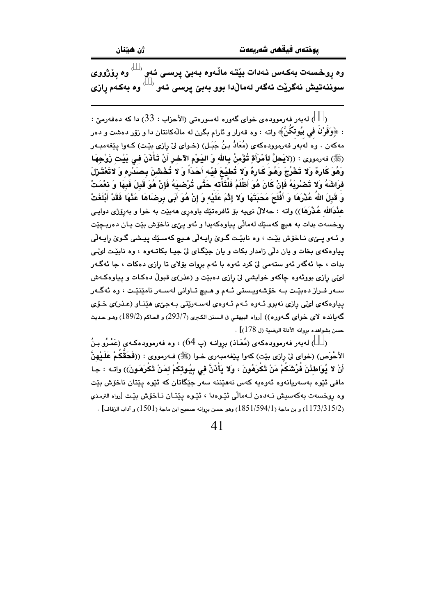ژن هيٽان

وه روخسهت بهکهس نـهدات بيّتـه مالّـهوه بـهبيّ پرسـي ئـهو ` ` وه روّژووي سو.<br>سوننەتيش نەگريْت ئەگەر لەمالْدا بوو بەبێ پرسى ئەو <sup>‹ ˈ</sup> وە بەكەم رازى

ز ) لەبەر فەرموودەي خواي گەورە لەسورەتى (الأحزاب : 33) دا كە دەفەرمىّ : : ﴿وَقَرْنَ فِي بِيُوتِكُنَّ﴾ واته : وه قەرار و ئارام بگرن له مالْهکانتان دا و زۆر دەشت و دەر مەكەن ، وە لەبەر فەرموودەكەي (مُعَاذُ بِنُ جَبَـل) (خـواي لِيْ رازى بِيْـت) كـەوا يـێغەمبـەر (ﷺ) فەرمورى : ((لايَحلَّ للْمْرَأَةِ تُؤْمِنُ بِالله وَ اليَـوْمِ الآخرِ أَنْ تَـَأْذَنَ فِي بَيْتِ زَوْجِهَا وَهُوَ كَارِهٌ وَلا تَخْرُجَ وَهُوَ كَارِهٌ وَلا تُطيْعَ فيْه أَحَدَاً وَ لا تُخْشَنَ بِصَدْرِهِ وَ لاتَعْتَـزِلَ فرَاشَهُ وَلا تَصْرِيَهُ فَإِنْ كَانَ هُوَ أَظْلَمُ فَلْتَأْتَه حَتَّى تُرْضِيَهُ فَإِنْ هُوَ قَبِلَ فَبِهَا وَ نعْمَتْ وَ قَبِلَ اللَّهُ عُذْرَهَا وَ أَفْلَحَ مَحَبَتَهَا وَلا إِتْمَ عَلَيْه وَ إِنْ هُوَ أَبَى بِرِضَاهَا عَذْهَا فَقَدْ أَبْلَغَتْ عثْدَالله عُـٰذْرَهَا)) واته : حهلالٌ نىيه بوْ ئافرەتێك باوەرى ھەبێت بە خوا و بەرۆژى دوايـى روخسهت بدات به هيچ کهسێك لهمالّي پياوهکهيدا و ئهو يێي ناخۆش بێت يـان دهربـڃێت و ئـهو يــِيِّ نـاخوّش بيِّـت ، وه نابيِّـت گـويّ رايـهلّي هـيـِ كهسـيّك ييـشي گـويّ رايـهلّي پیاوهکهی بخات و یان دلّی زامدار بکات و یان جێگـای ليّ جيـا بکاتـهوه ، وه نابێت لويّي بدات ، جا ئهگەر ئەو ستەمى لىٰ كرد ئەوە با ئەم بروات بۆلاي تا رازى دەكات ، جا ئەگـەر لويې رازې بووبهوه جاکهو خوابشي ليّ رازې دهييت و (عذر)ي قبولٌ دهکـات و پياوهکـهش سـهر فـراز دهبێـت بـه خۆشهويـستى ئـهم و هـيـچ تـاوانى لهسـهر نامێنێـت ، وه ئهگـهر یپاوهکهی لوێی رازی نهبوو ئـهوه ئـهم ئـهوهی لهسـهریتی بـهجیّی هیّنـاو (عـذر)ی خـوّی گەباندە لاي خواي گـەورە)) [رواه البيهقى فى الـسنن الكـرى (293/7) و الحـاكم (189/2) وهـو حـديث حسن بشواهده بروانه الأدلة الرضية (ل 178)] .

( ) لەبەر فەرموودەكەي (مُعَاذ) بروانـه (پ $64$ ) ، وە فەرموودەكـەي (عَمْـرُو بِـنُ الأَحْوَص) (خواي ليْ رازي بيّت) كەوا ييْغەمبەرى خـوا (ﷺ) فـەرمووي : ((فَحَقَّكُمْ عَلَيْهِنَّ أَنْ لا يُوَاطئْنَ فُرُشَكُمْ مَنْ تَكْرَهُونَ ، وَلا يَأْذَنَّ في بِيُوتِكُمْ لمَنْ تَكْرِهَونَ)) واتـه : جـا مافي ئٽوه پهسەريانەوه ئەوەبە كەس نەھێننە سەر چێگاتان كە ئٽوە پێتان ناخۆش پێت وه روخسهت بهكهسيش نـهدهن لـهمالي ئَيْـوهدا ، ئَيْـوه ييْتـان نـاخوْش بِيْـت [رواه الترمذي (1173/315/2) و بن ماجة (1851/594/1) وهو حسن بروانه صحيح ابن ماجة (1501) و آداب الزفاف] .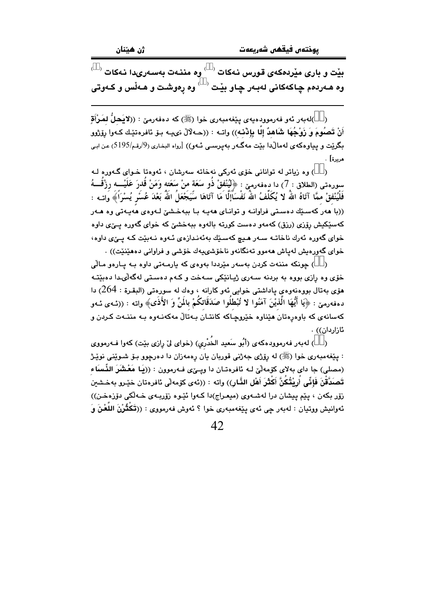$^\circ$  بیْت و باری میْردهکهی قورس نـهکات $^\circ$  وه مننـهت بهسـهریدا نـهکات وه هـهردهم چـاکـهکانی لـهبـهر چـاو بێت <sup>( )</sup> وه رهوشـت و هـهڵس و کـهوتی

( )لەبەر ئەو فەرموودەيەي پێغەمبەرى خوا (ﷺ) كە دەفەرمێ : ((لايَحلُّ لمَرْأَقِ أَنْ تَصِبُومَ وَ زَوْجُهَا شَاهِدٌ إِلَّا بِإِذْنِهِ)) واتبه : ((حـ4لآلْ نيبـه بـوْ ئافرەتێك كـ4وا رۆژوو بگرێت و پیاوهکهی لهماڵدا بێت مهگـهر بهیرسـی ئـهو)) [رواه البخـاری (9/رقـم/5195) عن ابـی مربرة] .

) وه زياتر له تواناني خۆي ئەركى نەخاتە سەرشان ، ئەوەتا خـواي گـەورە لـە سورەتى (الطلاق : 7) دا دەڧەرمێ : ﴿لٰيُنْفقْ ذُو سَعَة منْ سَعَته وَمَنْ قَدرَ عَلَيْـــه رِزْقَـــهُ فَلْيُنْفقْ ممَّا آتَاهُ اللّهُ لا يُكَلِّفُ اللهُ نَفْسَاًإِلَّا مَا آتَاهَا سَّيَجْعَلُ اللّهُ بَعْدَ عُسُر يُسْرَأَ﴾ واتــه : ((با هەر كەسىيك دەستى فراوانــه و توانــاى هەپــه بــا بېـهـخـشىّ لــەوەى هەپــەتى وە هــەر کهسێکیش رۆزی (رزق) کهمهو دهست کورته بالهوه ببهخشیّ که خوای گهوره پیّی داوه خوای گەورە ئەرك ناخاتــه ســەر ھـيـچ كەسـێك بەئەنـدازەی ئــەوە نــەبێت كــه يــێی داوە، خواي گەورەيش لەياش ھەموو تەنگانەو ناخۆشىيەك خۆشى و فراوانى دەھێنێت)) .

( ) جونکه مننهت کردن بهسهر مێرددا بهوهي که پارمـهتي داوه بـه پـارهو مـالّي .<br>خۆی وه رازی بووه به بردنه سـهری ژیـانێکی سـهخت و کـهم دهسـتی لهگهڵیـدا دهبێتـه هۆي بەتال بووەنەوەي ياداشتى خوايى ئەو كارانە ، وەك لە سورەتى (البقـرة : 264) دا دهفهرمن : ﴿يَا أَيُّهَا الَّذِيْنَ آمَنُوا لا تُبْطَلُوا صَدَقَاتِكُمْ بِالَمِّ وَ الأَذَى﴾ وإنه : ((ئيهي ئيهو .<br>کهسانهی که باوهروتان هێناوه خێروچـاکه کانتـان بـهتالْ مهکهنـهوه بـه مننـهت کـردن و ئازاردان)) .

( ) له به ر فه رمووده که ی (أَبُو سَعيد الخُدْرِی) (خوای ليّ رازی بيّت) کهوا فـه رمووی : پێغهمبەرى خوا (ﷺ) له رۆژى جەژنى قوربان يان رەمەزان دا دەرچوو بـۆ شـوێنى نوێـژ (مصلی) جا دای بهلای کۆمەلْێ لـه ئافرەتـان دا ویــِێی فـهرموون : ((یَـا مَعْشَرَ الذِّساَء تَصنَدَّقْنَ فَإِنِّي أُرِيْتُكُنَّ أَكْثَرَ أَهْلِ الذَّارِ)) واته : ((ئەي كۆمەلّى ئافرەتان خێـرو بەخـشين زۆر بكەن ، يێم پيشان درا لەشبەوي (ميعراج)دا كـەوا ئێـوە زۆربـەي خـەڵكى دۆزەخـن)) ئەوانيش ووتيان : لەبەر چى ئەي پێغەمبەرى خوا ؟ ئەوش فەرمووى : ((تَكْتُرْنَ اللَّعْنَ وَ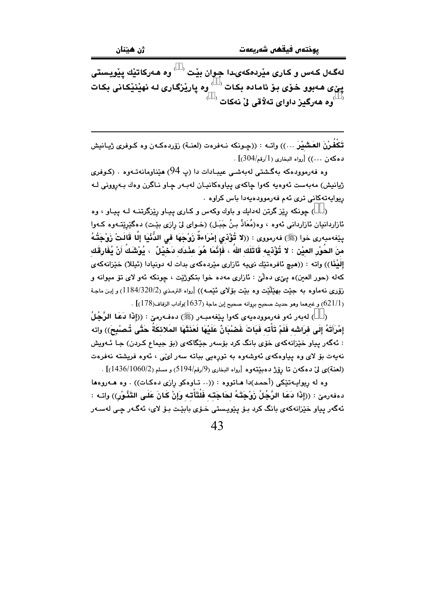لهگـهل کـهس و کـاری مێردهکهیـدا جـوان بێت <sup>( \_ )</sup> وه هـهرکاتێك پێویستی يێؠ؈هـﻪبوو ـخـۆی بـۆ ئامـادە بـکـات $\mathbb{C}^{\times}$ وه يارێزگـاری لـه نهێنێِکـانی بـکـات  $^{(-)}$ وه هەرگیز داوای تەلاقى لىْ نەكات  $^{(-)}$ 

تَكْفُرْنَ العَشْيْرِ …)) واتــه : ((حِـونكه نــهفرهت (لعنــة) رزوردهكـهن وه كـوفرى ژيـانيش  $(304/\mu)$ دهكهن ...)) [رواه البخاري ( $1/\mu$ رقم/304)]

وه فەرموودەكە بەگشتى لەبەشى عيبـادات دا (پ 94) ھێناومانەتـەوە . (كـوفرى ژيانيش) مەبەست ئەوەبە كەوا جاكەي پياوەكانيـان لەبـەر جـاو نـاگرن وەك بـەروونى لـە ريوايەتەكانى ترى ئەم فەرموودەيەدا باس كراوە .

( ) چونکه رێز گرتن لهدايك و باوك وكهس و كـارى پيـاو رێزگرتنــه لـه پيـاو ، وه ئازاردانيان ئازاردانى ئەوە ، وە(مُعَاذُ بنُ جَبَـل) (خـواى لىٰ رازى بێت) دەگێرێتـەوە كـەوا يێِغەمبەرى خوا (ﷺ) فەرمووى : ((لا تُؤْذي إِمْرَاءةٌ زَوْجَهَا في الدُّنْيَا إِلَّا قَالَتْ زَوْجَتُهُ منَ الحُوْرِ العيْنِ : لا تُؤْذيه قَاتَلَك اللهُ ، فَإِنَّمَا هُوَ عِنْدَك دَخيْلٌ ، يُوْشَكُ أَنْ يُفَارِقَك إِلَيْنَا)) واته : ((هيچ ئافرەتێك نىيە ئازارى مێردەكەي بدات لە دونيادا (ئېللا) خێزانەكەي کهله (حوړ العين)ه په یې دهلّی : ئازاري مهده خوا بتکوژيّت ، جونکه ئهو لای تق میوانه و زۆرى نەماوە بە جێت بهێڵێت وە بێت بۆلاى ئێمـه)) [رواه الترمذى (2/320/2) و إبـن ماجـة .  $(621/1)$ و غرهما وهو حديث صحيح بروانه صحيح إبن ماجة (1637)وآداب الزفاف (178)

( \_ ) لەبەر ئەو فەرموودەيەي كەوا يێغەمبـەر (ﷺ) دەفـەرمىّ : ((إِذَا دَعَا الرَّجُلُ إِمْرَأَتَهُ إِلَى فَرَاشَه فَلَمْ تَأْتَه فَبَاتَ غَصْبْانٌ عَلَيْهَا لَعَنَتْهَا المَلائكَةُ حَتَّى تُصْبِحَ)) واته : ئەگەر يياو خێزانەكەي خۆي بانگ كرد بۆسەر جێگاكەي (بۆ جيماع كـردن) جـا ئـەويش .<br>نەپەت بۆ لاي وە پياوەكەي ئەوشەوە بە تورەيى بېاتە سەر ل*ىڭى* ، ئەوە فريشتە نەفرەت (لعنة)ى ليّ دەكەن تا رۆژ دەبينتەوە [رواه البخارى (9/رقم/5194) و مسلم (1060/1436)] .

وه له ريوايــهتنكي (أحمد)دا هــاتووه : ((.. تــاوهكو رازي دهكـات)) . وه هــهروهها دهفەرمى٘ : ((إِذَا دَعَا الرَّجُلُ زَوْجَتَهُ لحَاجَتَـه فَلْتَأْتـه وَإِنْ كَانَ عَلَـى التَذَّوْرِ)) واتـه : ئەگەر پياو خێزانەكەي بانگ كرد بىۆ يێويستى خىۆي بابێت بىۆ لاي، ئەگـەر چـى لەسـەر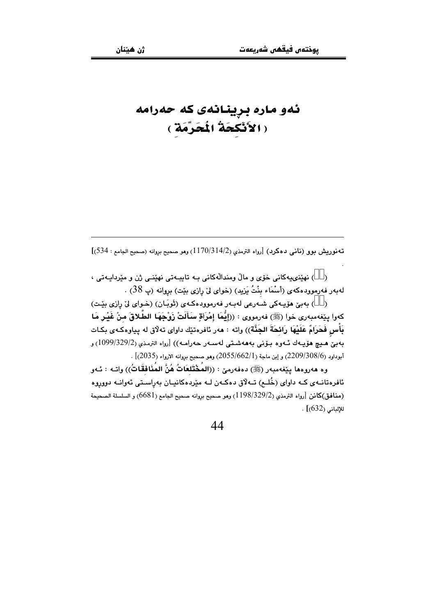## ئەو مارە برينانەى كە حەرامە ( الأَنْكَحَةُ الْمُحَرَّمَةِ )

تهنوريش بوو (ناني دهكرد) [رواه الترمذي (1170/314/2) وهو صحيح بروانه (صحيح الجامع : 534)]

( ) نهٽني،بهکاني خوّي و مالُ ومندالُهکاني بـه تابيـهتي نهٽنـي ژن و مٽردابـهتي ، لهبهر فهرموودهكهي (أسْمَاء بِنْتُ يَزِيدٍ) (خواي ليّ رازي بيّت) بروانه (پ 38) .

) بەبى ھۆيەكى شەرعى لەبەر فەرموودەكەي (تَوبَان) (خواي لى رازى بِيْت)  $\rightarrow$ كەوا يێغەمبەرى خوا (ﷺ) فەرمووى : ((إِيُّمَا إِمْرَأَةِ سَأَلَتْ زَوْجَهَا الطَّلاقَ منْ غَيْر مَا بَأْسٍ فَحَرَامٌ عَلَيْهَا رَائحَةَ الجَنَّة)) واته : هەر ئافرەتێك داواي تەلّاق لە يياوەكـەي بكـات بەبى ھىچ ھۆيـەك ئـەوە بـۆنى بەھەشـتى لەسـەر حەرامـە)) [رواه الترمـذي (29/329/2) و .<br>أبوداود (2209/308/6) و إبن ماجة (2055/662/1) وهو صحيح بروانه الارواء (2035)] .

وه هەروەها يێغەمبەر (ﷺ) دەفەرمێ : ((المُخْتَلعَاتُ هُنَّ المُنَافقَاتُ)) واتـه : ئـەو ئافرەتانــهى كــه داواى (خُلــم) تــهلاق دەكــهن لــه مێردەكانيــان بەراسـتى ئەوانــه دووروه (منافق)كانن [رواه الترمذي (2/329/2) (1198) وهو صحيح بروانه صحيح الجامع (6681) و السلسلة الصحيحة للإلباني (632)] .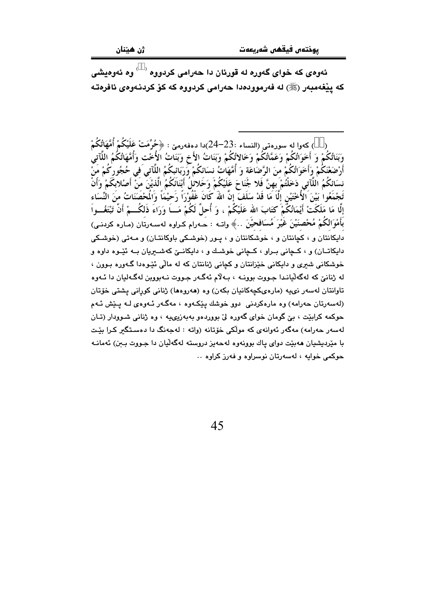ئهوهي که خواي گهوره له قورئان دا حهرامي کردووه  $\degree$  وه ئهوهيشي كه ييْغەمبەر (ﷺ) له فەرموودەدا حەرامى كردووه كه كۆ كردنـەوەي ئافرەتـە

) كەوا لە سورەتى (النساء :23–24)دا دەفەرمى : ﴿حُرِّمَتْ عَلَيْكُمْ أُمَّهَاتُكُمْ وَبَنَاتُكُمْ وَ أَخَوَاتُكُمْ وَعَمَّاتُكُمْ وَخَالاتُكُمْ وَبَنَاتُ الأَخ وَبَنَاتُ الْأُخْت وَأُمَّهَاتُكُمُ اللَّآتى أَرْضَعْنَكُمْ وَأَخَوَاتُكُمْ مّنَ الرَّضَاعَة وَ أُمَّهَاتُ نسَائكُمْ وَرَبَّائِبكُمُ اللَّآتى َفى خُجُوركُمْ مَنْ نسَائكُمُ اللَّآتي دَخَلْتُمْ بِهِنَّ فَلا جُنَاحَ عَلَيْكُمْ وَحَلائلُ أَبْنَائَكُمُ الَّذيْنَ مَنْ أَصْلابكَمْ وَأَنْ قَجْمَعُوا بَيْنَ الْأُخْتَيْنِ إِلَّا مَا قَدْ سَلَفَ إِنَّ اللهُ كَانَ غَفُوْرَاً رَحَيْمَاً وَالْمحْصَنَاتُ منَ الْنِّسَاء إِلَّا مَا مَلَكَتْ أَيْمَانُكُمْ كَتَابَ الله عَلَيْكُمْ ، وَ أُحلَّ لَكُمْ مَـــاً وَرَاءَ ذَلكُـــمْ أَنْ تَبْتَغُـــواَ بَأَمْوَالِكُمْ مُحْصِنَيْنَ غَيْرَ مُسَافحيْنَ . ﴾ واتــه : حــهرام كـراوه لهســهرتان (مـاره كردنـى) دايکانتان و ، کچانتان و ، خوشکانتان و ، پور (خوشکی باوکانتـان) و مـهتی (خوشکی دايکاتــان) و ، کــچانی بــراو ، کــچانی خوشــك و ، دايکانــێ کهشــيريان بــه ئێـوه داوه و خوشکانی شیری و دایکانی خێزانتان و کچانی ژنانتان که له مالّی ئێوهدا گـهوره بـوون ، له ژنانيّ که لهگهٽيانـدا جـووت پوونـه ، پـهلام ئهگـهر جـووت نـهيووين لهگـهليان دا ئـهوه تاوانتان لەسەر نىيە (مارەيكچەكانيان بكەن) وە (ھەروەھا) ژنانى كورانى يشتى خۆتان (لهسهرتان حهرامه) وه مارهکردنی ِ دوو خوشك بێکهوه ، مهگـهر ئـهوهي لـه بـێش ئـهم حوکمه کرایت ، یئ گومان خوای گەورە لیٌ پووردەو پەپەزپىچيە ، وه ژنانى شىوودار (تـان لەسەر جەرامە) مەگەر ئەوانەي كە مولّكى خۆتانە (واتە : لەجەنگ دا دەسـتگىر كـرا بێت با مێردیشیان ههبێت دوای یاك بوونهوه لهحهیز دروسته لهگهڵیان دا جـووت بـبن) ئهمانـه جوکمي خوابه ، لهسهرتان نوسراوه و فهرز کراوه ..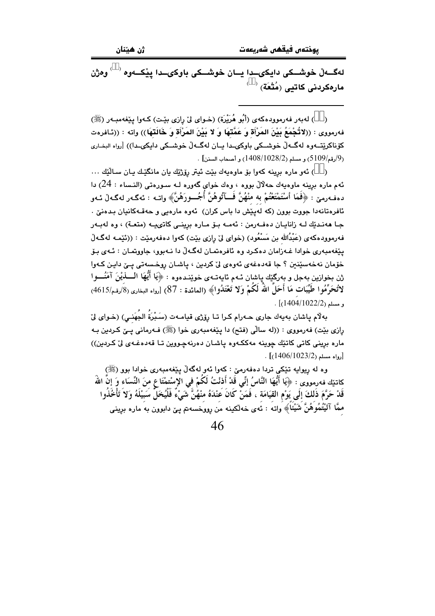لهگــهلْ خوشــكي دايكىــدا يــان خوشــكي باوكىــدا يێكــهوه ٬ ٬ وهژن مارەكردنى كاتيى (مُتْعَة)  $\overset{\left( -\right) }{~~}$ 

( ) له به ر فه رمووده که ی (أَبُو هُرَيْرَة) (خـوای ليّ رازی بيّـت) کـهوا بيێغهمبـه ر (ﷺ) فهرمووي : ((لاتُحْمَعُ بَيْنَ المَرْأَة وَ عَمَّتَهَا وَ لا بَيْنَ المَرْأَة وَ خَالَتَهَا)) واته : ((ئـافرهت کۆناکرێتەوە لەگەلٌ خوشىکى باوكىمدا يان لەگەلٌ خوشىکى دايكىمدا)) [رواە البخارى .<br>(9/رقم/5109) و مسلم (1028/2) (1408/102) و أصحاب السنن] .

( ) ئەو مارە برينە كەوا بۆ ماوەيەك بێت ئيتر رۆژێك يان مانگێك يـان سـالێك ... ئهم ماره برينه ماوهيهك حهلالٌ بووه ، وهك خواى گەوره لـه سـورهتى (النـساء : 24) دا دهفهرمين : ﴿فَعَا أَسْتَمْتَعْتُمْ بِهِ مُنْهُنَّ فَسَآتُوهُنَّ أَجُسورَهُنَّ﴾ واتــه : ئهگـهر لهگـهلْ ئـهو ئافرەتانەدا جووت بوون (كە لەيێش دا باس كران) ئەوە مارەيى و حەقـﻪكانيان بـدەنىٚ . جـا هەنـدێك لـه زانايـان دەڧـەرمن : ئەمـە بـۆ مـارە برينـى كاتىيــە (متعـة) ، وه لەبـەر فهرموودهکهی (عَبْدُالله بن مَسْعُود) (خوای لیْ رازی بیّت) کهوا دهفهرمیّت : ((ئَیّمه لهگـهلْ یێغەمبەری خوادا غـﻪزامان دەكـرد وە ئافرەتمـان لەگـﻪلْ دا نـﻪبوو، جاووتمـان : ئـﻪی بـۆ خۆمان نەخەسێنين ؟ جا قەدەغەي ئەوەي لىٌ كردين ، ياشـان روخـسەتى يـِيّ دايـِن كـەوا ثن بخوازين بهجل و بهرگێك پاشان ئـهم ئايهتـهي خوێنـدهوه : ﴿يَا أَيُّهَا الْـــــٰذيْنَ آمَنُــــوا لاتُحَرِّمُوا طَيِّبَات مَا أَحَلَّ اللهُ لَكُمْ وَلا تَعْتَدُوا﴾ (المائدة : 87) [رواه البخاري (8َ/رقم/4615)  $\frac{1}{2}$ و مسلم (1022/2) .

بِهِلْام ياشان بِهِيهِك جارِي حـهرام كـرا تـا رِوْرْي قيامـهت (سَـبْرَةُ الجُهَنـي) (خـواي لِيّ رازي بيّت) فهرمووي : ((له سالّي (فتح) دا پيّغهمبهري خوا (ﷺ) فـهرماني پـێ كـردين بـه ماره بريني کاتي کاتێك چوينه مەككەوه ياشان دەرنەچووين تـا قەدەغـەي ليْ كـردين)) . [رواه مسلم (1023/2/1406)]

وه له ريوايه تێکي تردا دهفهرميّ : کهوا ئهو لهگهڵ پێغهمبهري خوادا بوو (ﷺ) كاتيْك فەرمووى : ﴿يَا أَيُّهَا النَّاسُ إِنِّي قَدْ أَذنْتُ لَكُمْ في الإِسْتمْتَا ع منَ النِّسَاء وَ إنَّ الله قَدْ حَرَّمَ ذَلكَ إلَى يَوْم القيَامَة ، فَمَنْ كَانَ عَنْدَهُ منْهُنَّ شَىْءٌ فَلْيُخَلِّ سَبِيْلَهُ وَلاَ تَأْخُذُوا ممَّا آتَيْتُمُوهُنَّ شَيْئًا﴾ واته : ئەي خەلكىنە من رووخسەتم يـيٌ دابوون بە مارە برينى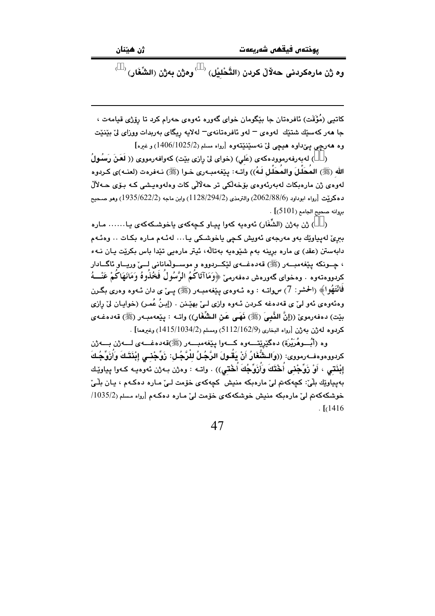$\overset{(-)}{\rightarrow}$ وه ژن مارهكردنى حەلالّ كردن (التَّحْليْل)  $\overset{(-)}{\rightarrow}$ وهژن بەژن (الشِّغَار)

کاتپی (مُؤَقَت) ئافرەتان جا بێگومان خواي گەورە ئەوەي چەرام کرد تا رۆژى قيامەت ، جا هەر كەسىيك شتىك لەوەي – لەو ئافرەتانەي– لەلايە ريگاي بەربدات ووزاي لىْ بېيْنيت وه ههرجي بي داوه هيچي ليّ نهسٽِنٽِتهوه [رواه مسلم (1025/2)1406) وغيره]

( ) له به رفه رمووده که ی (عَلی) (خوای لیٌ رازی بیِّت) که وافه رمووی (( لَعَنَ رَسُولُ الله (ﷺ) المكلِّلَ والمكلِّل لَـهُ)) واتـه: بيِّغهمبـهري خـوا (ﷺ) نـهفرهت (لعنـه)ي كـردوه لەوەي ژن مارەبكات لەبەرئەوەي بۆخەلكى تر حەلالى كات وەلەوەيىشى كـە بـۆي حـەلالٌ دهكريِّت [رواه ابوداود (2062/88/6) والترمذي (1128/294/2) وابن ماجه (1935/622/2) وهو صـحيح  $.$  [(5101) بروانه صحيح الجامع (5101).

( ) ژن بەژن (الشُّفَار) ئەوەيە كەوا ييـاو كـﭽەكەي ياخوشـكەكەي يـا...... مـارە ببریٰ لەيياوێك بەو مەرجەی ئەويش كچى ياخوشكى يا… لەئـەم مـارە بكـات … وەئـەم دابهستن (عقد) ی ماره برینه بهم شیوهیه بهتاله، ئیتر مارهیی تیدا باس بکریت یان نـهء ، چــونکه پێغەمبـــەر (ﷺ) قەدەغـــەي لێکــردووه و موســـولْمانانى لـــىّ وريـــاو ئاگـــادار كردووه تهوه ٠ وه خواي گهوره ش ده فه دمه ۣ ﴿وَمَا آتَا كُمُ الرَّسُولُ فَحُلْبُوهُ وَمَانَهَا كُمْ عَنْبُهُ فَانْتَهُوا﴾ (الحشر: 7) سواتـه : وه ئـهوهي بيێغهمبـهر (ﷺ) يــيٌ ي دان ئـهوه وهري بگـرن وهئهوهي ئهو ليّ ي قهدهغه كردن ئـهوه وازي لـيّ بهيّنن . (إبـنُ عُمـر) (خوايـان ليّ رازي بيّت) دەفەرموێ ((إنَّ النَّبِيَ (ﷺ) فَهَى عَنِ الشَّغَارِ)) واتـه : بِيٚعەمبـەر (ﷺ) قەدەغـەي كردو، له ژن په ژن [رواه البخاري (5112/162/9) ومسلم (1415/1034/2) وغيرهما] .

وه (أُبُّسوهُرَيْرَة) دەگێرێتسەوە كسەوا بێغەمبىسەر (ﷺ)قەدەغسەي لسەژن بسەژن كردووهوهف=ومووى: ((وَالـشُّغَارُ أَنْ يَقُـولَ الرَّجُـلُ لِلْرَّجُـل: زَوِّجْنـي إِبْنَتَـكَ وَأُزَوِّجُكَ إِبْنَتي ، أَوْ زَوِّجْنِي أَخْتَكَ وَأُزَوِّجُكَ أَخْتين)) . واتـه : وهژن بـهژن ئـهوهيـه كـهوا يـياويْـك پەيپاوٽك بِلِّيٌ: كچەكەتم لیّ مارەپكە منیش ِ كچەكەي خۆمت لیّ مارە دەكـەم ، پـان بِلّٰـیّ خوشکهکهتم لیّ ماروبکه منیش خوشکهکهی خوّمت لیّ مباره دوکیهم آرواه مسلم (1035/2/  $. [1416]$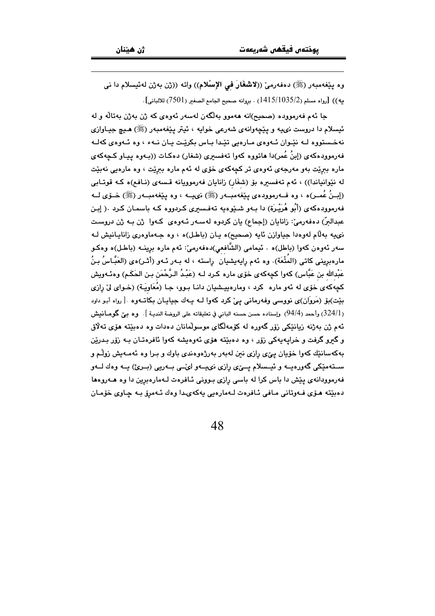وه پێغهمبهر (ﷺ) دهفهرميّ ((لاشغَارُ في الإسْلام)) واته ((ژن بهژن لهئيسلام دا ني يه)) [رواه مسلم (1415/1035/2) . بروانه صحيح الجامع الصغير (7501) للالباني].

جا ئهم فەرموودە (صحيح)انه ھەموو بەلگەن لەسەر ئەوەي كە ژن بەژن بەتالە و لە ئيسلام دا دروست نىيه و پێچەوانەي شەرعى خوايە ، ئيتر پێغەمبەر (ﷺ) ھـيچ جيـاوازى نهخستووه لـه نێوان ئـهوهى مـارهيى تێدا بـاس بكرێت يـان نـهء ، وه ئـهوهى كهلـه فهرموودهکهی (إبنُ عُمر)دا هاتووه کهوا تهفسیری (شغار) دهکات ((بـهوه پیـاو کـچهکهی ماره ببرێت بهو مهرجهی ئهوهی تر کچهکهی خوّی له ئهم ماره ببرێت ، وه مارهیی نهبێت له نێوانیاندا)) ، ئەم تەفسىرە بۆ (شغَار) زانایان فەرموویانە قـسەی (نـافـم)ە كــە قوتـابى (إبـنُ عُمـر)ه ، وه فــه(موودهى يَيْغهمبــهر (ﷺ) نىيــه ، وه يَيْغهمبــهر (ﷺ) خــۆى لــه فهرموودهکهی (أَبُو هُرَيْـرَة) دا بـهو شـێوهیه تـهفـسیری کـردووه کـه باسمـان کـرد .( إبـن عبدالبرّ) دەڧەرمىؒ: زانايان (إجماع) يان كردوە لەسـەر ئـەوەي كـەوا ژن بـە ژن دروسـت نى يه به لام له وه دا جياوازن ئايه (صحيح)ه يان (باطل)ه ، وه جـهماوهري زانايانيش لـه سەر ئەوەن كەوا (باطل)ە ٠ ئىيمامى (الشَّافعى)دەفەرمىؒ: ئەم مارە برينــه (باطـل)ە وەكـو مارەبرینی کاتی (المتْعَة). وه ئەم رايەيشيان راستە ، لە بـەر ئـەو (أَثـر)ەی (العَبَّـاسُ بـنُ عَبْدالله بن عَبَّاس) كهوا كچهكهى خۆى ماره كـرد لـه (عَبْـدُ الـرَّحْمَن بـن الحَكَـم) وهنْـهويش کچهکهی خوّی له ئهو ماره کرد ، ومارهپیشیان دانـا بـوو، جـا (مُعَاوِیَـة) (خـوای لیّ رِازی بيّت)بق (مَروَان)ي نووسي وفهرماني ييّ كرد كهوا لـه يـهك جيايـان بكاتـهوه .[رواه أبـو داود (324/1) وأحمد (94/4) وإسناده حسن حسنه الباني في تعليقاته على الروضة النديـة ]. وه بـيّ گومـانيش ئەم ژن بەژنە زيانێكى زۆر گەورە لە كۆمەلگاي موسولْمانان دەدات وە دەبێتە ھۆي تەلاق و گیرو گرفت و خرایهپهکی زۆر ، وه دهبیّته هوّی ئهوهیشه کهوا ئافرهتـان بـه زۆر بـدریین بهکهسانێك کهوا خۆيان يېّی رازی نين لهبهر بهرژهوهندی باوك و بـرا وه ئهمـهيش زولّم و سىتەمێكى گەورەپــە و ئيــسلام پــێى رازى نىپــەو لىٽــى بــەرپى (بــرئ) پــە وەك لــەو فهرموودانهی پیش دا باس کرا له باسی رازی بوونی ئـافرهت لـهمارهبرین دا وه هـهروهها دەبيّتە مىۆى فەوتانى مافى ئافرەت لـەمارەيى يەكەيدا وەك ئـەمرۆ بـە چاوى خۆمـان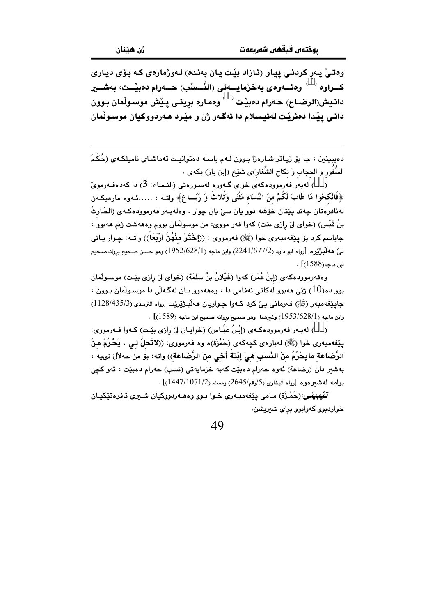وهتيٰ يهر کردني پياو (ئازاد بيْت يان بهنده) لهورْمارهي که بوّي دياري كـــراوه <sup>( )</sup> وهئــــهوهى بهخزمايــــهتى (النَّـــسنب) حــــهرام دهبيْــت، بهشـــير دانـيش(الرضـاع) حـهرام دهبيّت  $\rightarrow$  وهمـاره برِينـي پـيّش موسـولْمان بـوون داني پيْدا دەنريْت لەئيسلام دا ئەگەر ژن و ميْرد ھەردووكيان موسىولْمان

دهیبینین ، جا بۆ زیاتر شارەزا بـوون لـهم باسـه دەتوانیـت تەماشـای نامیلکـهی (حُکْمَ السُّفَور وَ الحجَاب وَ نكَاح الشِّغَار)ى شيّخ (إبن باز) بكهى .

و د ) لەبەر فەرموودەكەي خواي گەورە لەسىورەتى (النـساء: 3) دا كەدەفـەرموئ ) ( ﴿فَانْكِحُوا مَا طَابَ لَكُمْ منَ النِّسَاء مَثْنَى وَثُلاثَ وَ رُبَـــاع﴾ واتــه : ……ئـهوه مارهبكـهن لهئافرەتان چەند پێتان خۆشە دوو يان سىّ يان چوار . وەلەبـەر فەرموودەكـەي (الحَـارثُ بنُ قَيْس) (خواي ليٌ رازي بيّت) كهوا فهر مووي: من موسولْمان بووم وهههشت ژنم ههبوو ، جاباسم كرد بۆ يێغەمبەرى خوا (ﷺ) فەرمووى : ((إِخْتَرْ مِنْهُنَّ أَرْبَعَاً)) واتــه: چـوار يـانى ليّ هه لُبِرْيْرِه [رواه ابو داود (2241/677/2) وابن ماجه (1952/628/1) وهو حسن صحيح بروانهصحيح ابن ماجه(1588)] .

وهفهرموودهكهي (إينُ عُمَرٍ) كهوا (غَيْلانُ بنُ سَلَمَةً) (خواي ليّ رازي بيّـت) موسـولْمان بوو ده(10) ژنی ههبوو لهکاتی نهفامی دا ، وهههموو پـان لهگـهایی دا موسـولّمان بـوون ، جايٽغەمبەر (ﷺ) فەرمانى بيِّ كرد كـەو! جـواريان ھەلبـژێرێت [رواء الترمذي (35/33/435/3)  $\sim[1589)$  وابن ماجه (1 $1953/628/1$ ) وغیرهما وهو صحیح بروانه صحیح ابن ماجه (1589)

...<br>(ãã) لهبـهر فهرموودهكـهي (إِبْنُ عَبَّـاس) (خوايـان ليّ رِازي بيّـت) كـهوا فـهرمووي: يێِغهمبهري خوا (ﷺ) لهبارهي کچهکهي (حَمْزَة)ه وه فهرمووي: ((لاتَّحلُّ لـي ، يَحْرُمُ منَ الرَّصْاعَة مَايَحْرُمُ منْ النَّسَبِ هيَ إِبْنَةُ أَحْيِ منَ الرَّصْاعَةِ)) واته: بق من حهلاُلٌ نىيه ، بەشىر دان (رضاعة) ئەوە حەرام دەبێت كەبە خزمايەتى (نسب) حەرام دەبێت ، ئەو كچى  $\sim [ (1447/1071/2)$ برامه لهشترهوه  $[$ رواه البخاري (5/رقم/2645) ومسلم

تَّفْيِبِيْنِي:(حَمْزَة) مـامي يێغەمبـەرى خـوا بـوو وەھـەردووكيان شـەرى ئافرەتێكيـان خواردبوو کهوابوو برای شیریشن.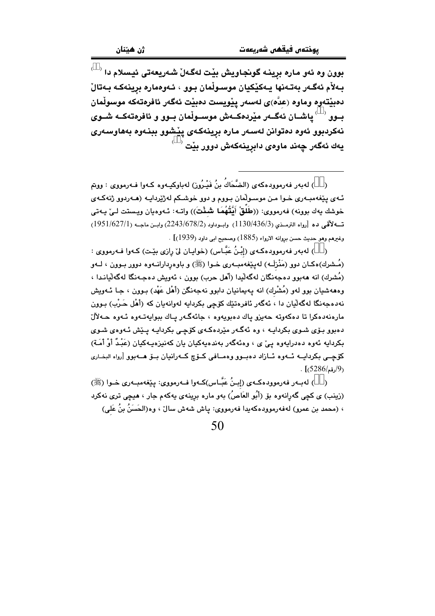$\overrightarrow{\phantom{a}}$ بوون وه ئەو مارە بړينـه گونجاويش بێت لەگـەلٚ شـەريعەتى ئيسلام دا بـﻪلأم ئەگـﻪر بەتـﻪنها يـﻪكێكيان موسـوڵمان بـوو ، ئـﻪوەمارە برينـﻪكـﻪ بـﻪتالْ دەبێتەوە وماوە (عدَّە)ى لەسەر يێويست دەبێت ئەگەر ئافرەتەكە موسوڵمان بــوو <sup>( )</sup> یاشــان ئەگــەر میْردەكــەش موســولْمان بــوو و ئافرەتەكــە شــوى نەكردېوو ئەوە دەتوانن لەسەر مارە برينەكەي يێشوو بېنەوە بەھاوسەرى  $^\circ$  يەك ئەگەر چەند ماوەي دابرينەكەش دوور بێت

( ) لەبەر فەرموودەكەي (الضَّحَاكُ بنُ فَيْـرُوز) لەباوكيـەوە كـەوا فـەرمووى : ووتم ئـهي پێغهمبـهري خـوا مـن موسـولّمان بـووم و دوو خوشـكم لهژێردايـه (هـهردوو ژنهكـهي خوشك يەك بوونە) فەرمووى: ((طُلُقْ أَيُّتُهُمَا شَـنْتَ)) واتـه: ئـەوەيان ويـستت لـيٰ يـەتى  $(1951/627/1)$  ته لاقی ده [رواه الترمـذي (1130/436/3) وابـوداود (2243/678/2) وابـن ماجـه (1951/627/1) وغيرهم وهو حديث حسن بروانه الارواء (1885) وصحيح ابي داود (1939)] .

( ) لەبەر فەرموودەكـەي (إِبْنُ عَبَّـاس) (خوايـان ليْ رازى بێت) كـەوا فـەرمووى : (مُـشرك)هكـان دوو (مَنْزِلَـه) لهيێغهمبـهري خـوا (ﷺ) و باوهردارانـهوه دوور بـوون ، لــهو (مُشرِك) انه ههبوو دهجهنگان لهگهلُبدا (أهل حرب) بوون ، ئهويش دهجـهنگا لهگهلُبانـدا ، وهههشيان بوو لهو (مُشْرك) انه پهيمانيان دابوو نهجهنگن (أهْل عَهْد) بـوون ، جـا ئـهويش نهدهجەنگا لەگەلبان دا ، ئەگەر ئافرەتتك كۆچى بكردابە لەوانەيان كە (أَهْل حَـرْبِ) پوون مارەنەدەكرا تا دەكەوتە جەيزو ياك دەبويەوە ، جائەگەر ياك بېرابەتبەوە ئەرە جەلالٌ دهبوو بـۆی شـوی بکردایـه ، وه ئهگـهر مێردهکـهی کۆچـی بکردایـه پـێش ئـهوهی شـوی بکردابه ئەوە دەدرابەوە بے ٘ی ، وەئەگەر بەندەبەکیان بان کەنپزەبەکیان (عَبْدُ أَوْ أَمَـة) کۆچپى بکرداييە ئېھوە ئېازاد دەپپوۋ وەميافى كېۆچ كېەرانيان يېۆ ھېھبوق ارواه الېغيارى  $\cdot$  (5286/مقم) $(9)$ 

( ) لەببەر فەرموودەكبەي (إبنُ عَبَّـاس)كبەوا فـبەرمووي: يێغەمببەرى خـوا (ﷺ) (زينب) ي کچي گهرانهوه بۆ (أَبُو العَاصُ) بهو ماره برينهي پهکهم جار ، هيچي تري نهکرد › (محمد بن عمرو) لهفهرموودهکهبدا فهرمووی: بیاش شهش سالٚ ، وه(الحَسَنُ بنُ عَلی)